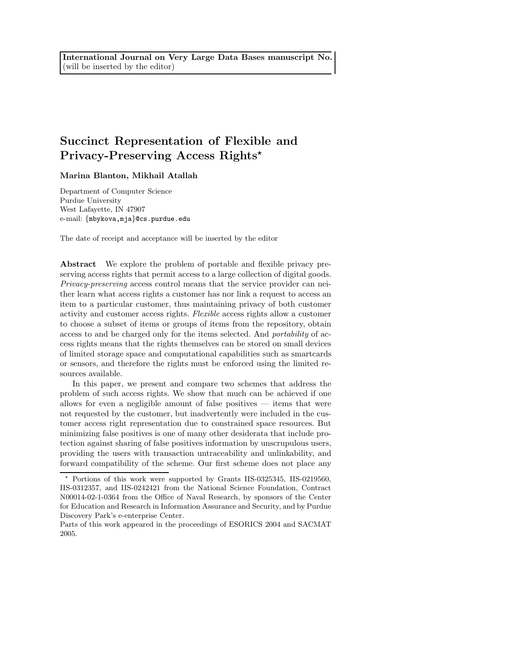International Journal on Very Large Data Bases manuscript No. (will be inserted by the editor)

# Succinct Representation of Flexible and Privacy-Preserving Access Rights<sup>\*</sup>

# Marina Blanton, Mikhail Atallah

Department of Computer Science Purdue University West Lafayette, IN 47907 e-mail: {mbykova,mja}@cs.purdue.edu

The date of receipt and acceptance will be inserted by the editor

Abstract We explore the problem of portable and flexible privacy preserving access rights that permit access to a large collection of digital goods. Privacy-preserving access control means that the service provider can neither learn what access rights a customer has nor link a request to access an item to a particular customer, thus maintaining privacy of both customer activity and customer access rights. Flexible access rights allow a customer to choose a subset of items or groups of items from the repository, obtain access to and be charged only for the items selected. And portability of access rights means that the rights themselves can be stored on small devices of limited storage space and computational capabilities such as smartcards or sensors, and therefore the rights must be enforced using the limited resources available.

In this paper, we present and compare two schemes that address the problem of such access rights. We show that much can be achieved if one allows for even a negligible amount of false positives — items that were not requested by the customer, but inadvertently were included in the customer access right representation due to constrained space resources. But minimizing false positives is one of many other desiderata that include protection against sharing of false positives information by unscrupulous users, providing the users with transaction untraceability and unlinkability, and forward compatibility of the scheme. Our first scheme does not place any

<sup>?</sup> Portions of this work were supported by Grants IIS-0325345, IIS-0219560, IIS-0312357, and IIS-0242421 from the National Science Foundation, Contract N00014-02-1-0364 from the Office of Naval Research, by sponsors of the Center for Education and Research in Information Assurance and Security, and by Purdue Discovery Park's e-enterprise Center.

Parts of this work appeared in the proceedings of ESORICS 2004 and SACMAT 2005.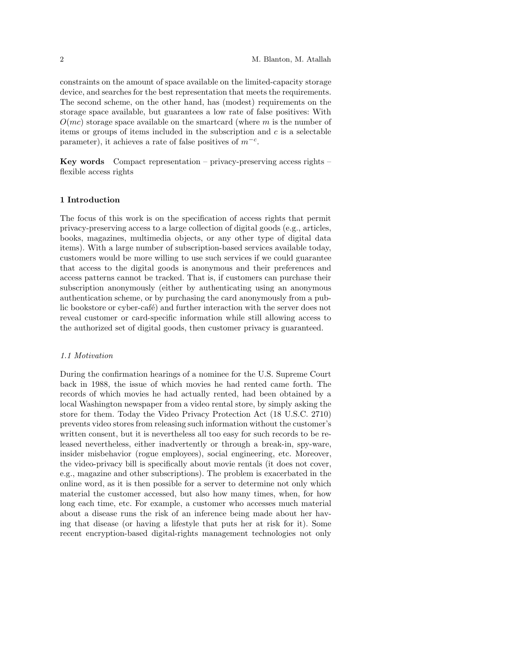constraints on the amount of space available on the limited-capacity storage device, and searches for the best representation that meets the requirements. The second scheme, on the other hand, has (modest) requirements on the storage space available, but guarantees a low rate of false positives: With  $O(mc)$  storage space available on the smartcard (where m is the number of items or groups of items included in the subscription and  $c$  is a selectable parameter), it achieves a rate of false positives of  $m^{-c}$ .

Key words Compact representation – privacy-preserving access rights – flexible access rights

## 1 Introduction

The focus of this work is on the specification of access rights that permit privacy-preserving access to a large collection of digital goods (e.g., articles, books, magazines, multimedia objects, or any other type of digital data items). With a large number of subscription-based services available today, customers would be more willing to use such services if we could guarantee that access to the digital goods is anonymous and their preferences and access patterns cannot be tracked. That is, if customers can purchase their subscription anonymously (either by authenticating using an anonymous authentication scheme, or by purchasing the card anonymously from a public bookstore or cyber-café) and further interaction with the server does not reveal customer or card-specific information while still allowing access to the authorized set of digital goods, then customer privacy is guaranteed.

#### 1.1 Motivation

During the confirmation hearings of a nominee for the U.S. Supreme Court back in 1988, the issue of which movies he had rented came forth. The records of which movies he had actually rented, had been obtained by a local Washington newspaper from a video rental store, by simply asking the store for them. Today the Video Privacy Protection Act (18 U.S.C. 2710) prevents video stores from releasing such information without the customer's written consent, but it is nevertheless all too easy for such records to be released nevertheless, either inadvertently or through a break-in, spy-ware, insider misbehavior (rogue employees), social engineering, etc. Moreover, the video-privacy bill is specifically about movie rentals (it does not cover, e.g., magazine and other subscriptions). The problem is exacerbated in the online word, as it is then possible for a server to determine not only which material the customer accessed, but also how many times, when, for how long each time, etc. For example, a customer who accesses much material about a disease runs the risk of an inference being made about her having that disease (or having a lifestyle that puts her at risk for it). Some recent encryption-based digital-rights management technologies not only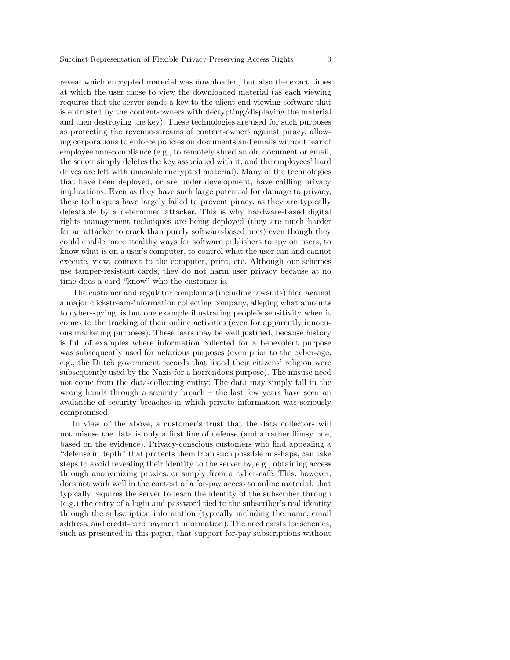reveal which encrypted material was downloaded, but also the exact times at which the user chose to view the downloaded material (as each viewing requires that the server sends a key to the client-end viewing software that is entrusted by the content-owners with decrypting/displaying the material and then destroying the key). These technologies are used for such purposes as protecting the revenue-streams of content-owners against piracy, allowing corporations to enforce policies on documents and emails without fear of employee non-compliance (e.g., to remotely shred an old document or email, the server simply deletes the key associated with it, and the employees' hard drives are left with unusable encrypted material). Many of the technologies that have been deployed, or are under development, have chilling privacy implications. Even as they have such large potential for damage to privacy, these techniques have largely failed to prevent piracy, as they are typically defeatable by a determined attacker. This is why hardware-based digital rights management techniques are being deployed (they are much harder for an attacker to crack than purely software-based ones) even though they could enable more stealthy ways for software publishers to spy on users, to know what is on a user's computer, to control what the user can and cannot execute, view, connect to the computer, print, etc. Although our schemes use tamper-resistant cards, they do not harm user privacy because at no time does a card "know" who the customer is.

The customer and regulator complaints (including lawsuits) filed against a major clickstream-information collecting company, alleging what amounts to cyber-spying, is but one example illustrating people's sensitivity when it comes to the tracking of their online activities (even for apparently innocuous marketing purposes). These fears may be well justified, because history is full of examples where information collected for a benevolent purpose was subsequently used for nefarious purposes (even prior to the cyber-age, e.g., the Dutch government records that listed their citizens' religion were subsequently used by the Nazis for a horrendous purpose). The misuse need not come from the data-collecting entity: The data may simply fall in the wrong hands through a security breach – the last few years have seen an avalanche of security breaches in which private information was seriously compromised.

In view of the above, a customer's trust that the data collectors will not misuse the data is only a first line of defense (and a rather flimsy one, based on the evidence). Privacy-conscious customers who find appealing a "defense in depth" that protects them from such possible mis-haps, can take steps to avoid revealing their identity to the server by, e.g., obtaining access through anonymizing proxies, or simply from a cyber-café. This, however, does not work well in the context of a for-pay access to online material, that typically requires the server to learn the identity of the subscriber through (e.g.) the entry of a login and password tied to the subscriber's real identity through the subscription information (typically including the name, email address, and credit-card payment information). The need exists for schemes, such as presented in this paper, that support for-pay subscriptions without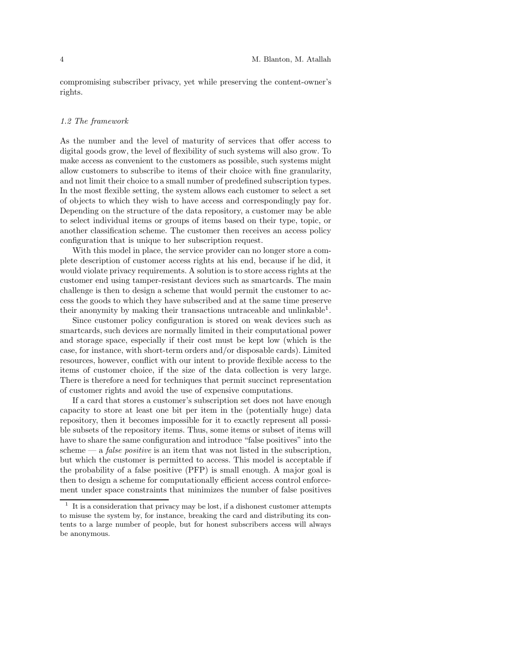compromising subscriber privacy, yet while preserving the content-owner's rights.

## 1.2 The framework

As the number and the level of maturity of services that offer access to digital goods grow, the level of flexibility of such systems will also grow. To make access as convenient to the customers as possible, such systems might allow customers to subscribe to items of their choice with fine granularity, and not limit their choice to a small number of predefined subscription types. In the most flexible setting, the system allows each customer to select a set of objects to which they wish to have access and correspondingly pay for. Depending on the structure of the data repository, a customer may be able to select individual items or groups of items based on their type, topic, or another classification scheme. The customer then receives an access policy configuration that is unique to her subscription request.

With this model in place, the service provider can no longer store a complete description of customer access rights at his end, because if he did, it would violate privacy requirements. A solution is to store access rights at the customer end using tamper-resistant devices such as smartcards. The main challenge is then to design a scheme that would permit the customer to access the goods to which they have subscribed and at the same time preserve their anonymity by making their transactions untraceable and unlinkable<sup>1</sup>.

Since customer policy configuration is stored on weak devices such as smartcards, such devices are normally limited in their computational power and storage space, especially if their cost must be kept low (which is the case, for instance, with short-term orders and/or disposable cards). Limited resources, however, conflict with our intent to provide flexible access to the items of customer choice, if the size of the data collection is very large. There is therefore a need for techniques that permit succinct representation of customer rights and avoid the use of expensive computations.

If a card that stores a customer's subscription set does not have enough capacity to store at least one bit per item in the (potentially huge) data repository, then it becomes impossible for it to exactly represent all possible subsets of the repository items. Thus, some items or subset of items will have to share the same configuration and introduce "false positives" into the scheme — a *false positive* is an item that was not listed in the subscription, but which the customer is permitted to access. This model is acceptable if the probability of a false positive (PFP) is small enough. A major goal is then to design a scheme for computationally efficient access control enforcement under space constraints that minimizes the number of false positives

<sup>1</sup> It is a consideration that privacy may be lost, if a dishonest customer attempts to misuse the system by, for instance, breaking the card and distributing its contents to a large number of people, but for honest subscribers access will always be anonymous.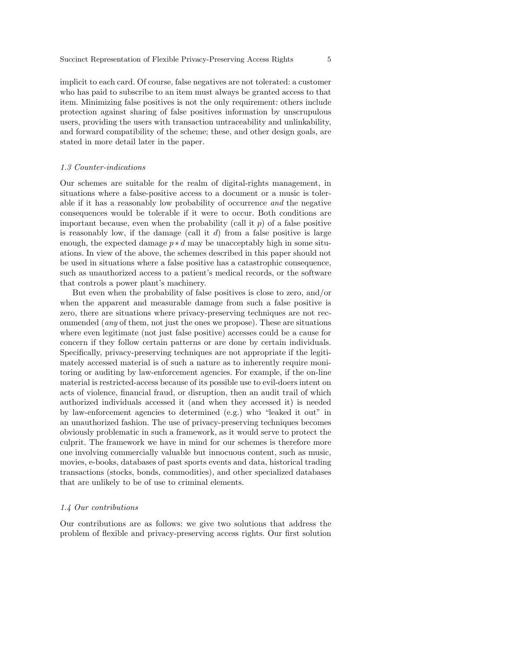implicit to each card. Of course, false negatives are not tolerated: a customer who has paid to subscribe to an item must always be granted access to that item. Minimizing false positives is not the only requirement: others include protection against sharing of false positives information by unscrupulous users, providing the users with transaction untraceability and unlinkability, and forward compatibility of the scheme; these, and other design goals, are stated in more detail later in the paper.

#### 1.3 Counter-indications

Our schemes are suitable for the realm of digital-rights management, in situations where a false-positive access to a document or a music is tolerable if it has a reasonably low probability of occurrence and the negative consequences would be tolerable if it were to occur. Both conditions are important because, even when the probability (call it  $p$ ) of a false positive is reasonably low, if the damage (call it  $d$ ) from a false positive is large enough, the expected damage  $p * d$  may be unacceptably high in some situations. In view of the above, the schemes described in this paper should not be used in situations where a false positive has a catastrophic consequence, such as unauthorized access to a patient's medical records, or the software that controls a power plant's machinery.

But even when the probability of false positives is close to zero, and/or when the apparent and measurable damage from such a false positive is zero, there are situations where privacy-preserving techniques are not recommended (any of them, not just the ones we propose). These are situations where even legitimate (not just false positive) accesses could be a cause for concern if they follow certain patterns or are done by certain individuals. Specifically, privacy-preserving techniques are not appropriate if the legitimately accessed material is of such a nature as to inherently require monitoring or auditing by law-enforcement agencies. For example, if the on-line material is restricted-access because of its possible use to evil-doers intent on acts of violence, financial fraud, or disruption, then an audit trail of which authorized individuals accessed it (and when they accessed it) is needed by law-enforcement agencies to determined (e.g.) who "leaked it out" in an unauthorized fashion. The use of privacy-preserving techniques becomes obviously problematic in such a framework, as it would serve to protect the culprit. The framework we have in mind for our schemes is therefore more one involving commercially valuable but innocuous content, such as music, movies, e-books, databases of past sports events and data, historical trading transactions (stocks, bonds, commodities), and other specialized databases that are unlikely to be of use to criminal elements.

## 1.4 Our contributions

Our contributions are as follows: we give two solutions that address the problem of flexible and privacy-preserving access rights. Our first solution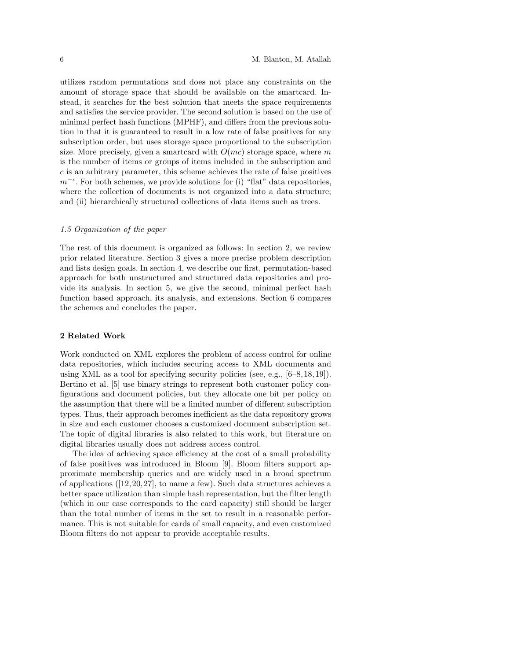utilizes random permutations and does not place any constraints on the amount of storage space that should be available on the smartcard. Instead, it searches for the best solution that meets the space requirements and satisfies the service provider. The second solution is based on the use of minimal perfect hash functions (MPHF), and differs from the previous solution in that it is guaranteed to result in a low rate of false positives for any subscription order, but uses storage space proportional to the subscription size. More precisely, given a smartcard with  $O(mc)$  storage space, where m is the number of items or groups of items included in the subscription and  $c$  is an arbitrary parameter, this scheme achieves the rate of false positives m<sup>-c</sup>. For both schemes, we provide solutions for (i) "flat" data repositories, where the collection of documents is not organized into a data structure; and (ii) hierarchically structured collections of data items such as trees.

# 1.5 Organization of the paper

The rest of this document is organized as follows: In section 2, we review prior related literature. Section 3 gives a more precise problem description and lists design goals. In section 4, we describe our first, permutation-based approach for both unstructured and structured data repositories and provide its analysis. In section 5, we give the second, minimal perfect hash function based approach, its analysis, and extensions. Section 6 compares the schemes and concludes the paper.

## 2 Related Work

Work conducted on XML explores the problem of access control for online data repositories, which includes securing access to XML documents and using XML as a tool for specifying security policies (see, e.g.,  $[6-8, 18, 19]$ ). Bertino et al. [5] use binary strings to represent both customer policy configurations and document policies, but they allocate one bit per policy on the assumption that there will be a limited number of different subscription types. Thus, their approach becomes inefficient as the data repository grows in size and each customer chooses a customized document subscription set. The topic of digital libraries is also related to this work, but literature on digital libraries usually does not address access control.

The idea of achieving space efficiency at the cost of a small probability of false positives was introduced in Bloom [9]. Bloom filters support approximate membership queries and are widely used in a broad spectrum of applications  $(12, 20, 27)$ , to name a few). Such data structures achieves a better space utilization than simple hash representation, but the filter length (which in our case corresponds to the card capacity) still should be larger than the total number of items in the set to result in a reasonable performance. This is not suitable for cards of small capacity, and even customized Bloom filters do not appear to provide acceptable results.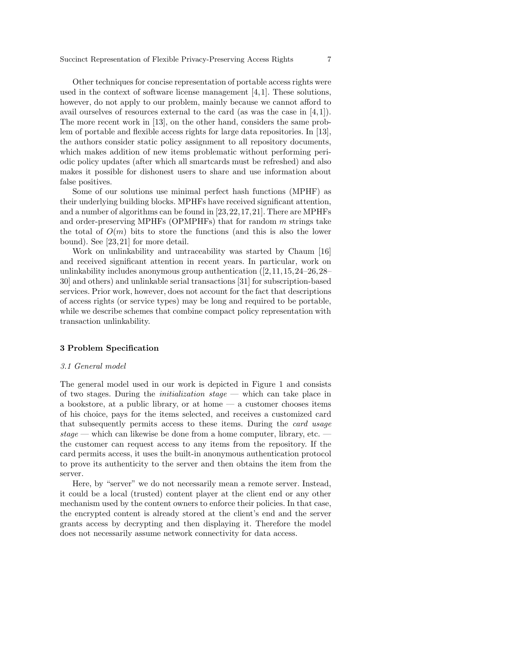Other techniques for concise representation of portable access rights were used in the context of software license management [4,1]. These solutions, however, do not apply to our problem, mainly because we cannot afford to avail ourselves of resources external to the card (as was the case in [4,1]). The more recent work in [13], on the other hand, considers the same problem of portable and flexible access rights for large data repositories. In [13], the authors consider static policy assignment to all repository documents, which makes addition of new items problematic without performing periodic policy updates (after which all smartcards must be refreshed) and also makes it possible for dishonest users to share and use information about false positives.

Some of our solutions use minimal perfect hash functions (MPHF) as their underlying building blocks. MPHFs have received significant attention, and a number of algorithms can be found in [23,22,17,21]. There are MPHFs and order-preserving MPHFs (OPMPHFs) that for random  $m$  strings take the total of  $O(m)$  bits to store the functions (and this is also the lower bound). See [23,21] for more detail.

Work on unlinkability and untraceability was started by Chaum [16] and received significant attention in recent years. In particular, work on unlinkability includes anonymous group authentication  $(2,11,15,24-26,28-$ 30] and others) and unlinkable serial transactions [31] for subscription-based services. Prior work, however, does not account for the fact that descriptions of access rights (or service types) may be long and required to be portable, while we describe schemes that combine compact policy representation with transaction unlinkability.

## 3 Problem Specification

#### 3.1 General model

The general model used in our work is depicted in Figure 1 and consists of two stages. During the *initialization*  $stage$  — which can take place in a bookstore, at a public library, or at home — a customer chooses items of his choice, pays for the items selected, and receives a customized card that subsequently permits access to these items. During the card usage  $stage$  — which can likewise be done from a home computer, library, etc. the customer can request access to any items from the repository. If the card permits access, it uses the built-in anonymous authentication protocol to prove its authenticity to the server and then obtains the item from the server.

Here, by "server" we do not necessarily mean a remote server. Instead, it could be a local (trusted) content player at the client end or any other mechanism used by the content owners to enforce their policies. In that case, the encrypted content is already stored at the client's end and the server grants access by decrypting and then displaying it. Therefore the model does not necessarily assume network connectivity for data access.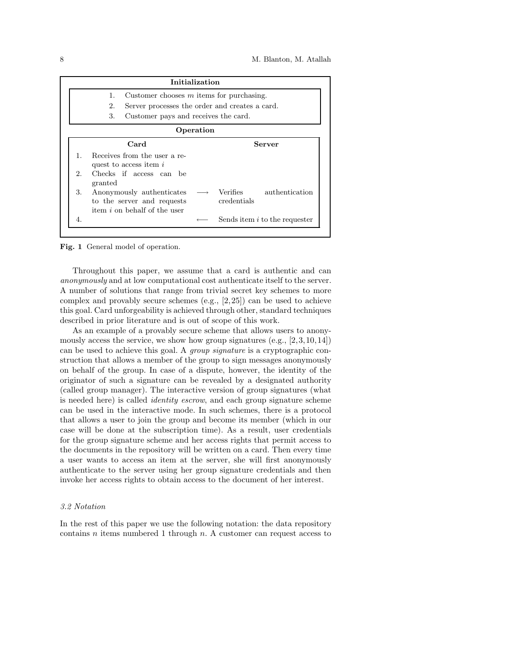| Initialization |                                                      |  |                                 |  |  |  |
|----------------|------------------------------------------------------|--|---------------------------------|--|--|--|
|                | 1.<br>Customer chooses $m$ items for purchasing.     |  |                                 |  |  |  |
|                | 2.<br>Server processes the order and creates a card. |  |                                 |  |  |  |
|                | 3.<br>Customer pays and receives the card.           |  |                                 |  |  |  |
| Operation      |                                                      |  |                                 |  |  |  |
|                | Card                                                 |  | Server                          |  |  |  |
| $\mathbf{1}$ . | Receives from the user a re-                         |  |                                 |  |  |  |
|                | quest to access item i                               |  |                                 |  |  |  |
| 2.             | Checks if access can be<br>granted                   |  |                                 |  |  |  |
| 3.             | Anonymously authenticates                            |  | Verifies authentication         |  |  |  |
|                | to the server and requests                           |  | credentials                     |  |  |  |
|                | item <i>i</i> on behalf of the user                  |  |                                 |  |  |  |
| 4.             |                                                      |  | Sends item $i$ to the requester |  |  |  |

Fig. 1 General model of operation.

Throughout this paper, we assume that a card is authentic and can anonymously and at low computational cost authenticate itself to the server. A number of solutions that range from trivial secret key schemes to more complex and provably secure schemes  $(e.g., [2,25])$  can be used to achieve this goal. Card unforgeability is achieved through other, standard techniques described in prior literature and is out of scope of this work.

As an example of a provably secure scheme that allows users to anonymously access the service, we show how group signatures  $(e.g., [2,3,10,14])$ can be used to achieve this goal. A group signature is a cryptographic construction that allows a member of the group to sign messages anonymously on behalf of the group. In case of a dispute, however, the identity of the originator of such a signature can be revealed by a designated authority (called group manager). The interactive version of group signatures (what is needed here) is called identity escrow, and each group signature scheme can be used in the interactive mode. In such schemes, there is a protocol that allows a user to join the group and become its member (which in our case will be done at the subscription time). As a result, user credentials for the group signature scheme and her access rights that permit access to the documents in the repository will be written on a card. Then every time a user wants to access an item at the server, she will first anonymously authenticate to the server using her group signature credentials and then invoke her access rights to obtain access to the document of her interest.

#### 3.2 Notation

In the rest of this paper we use the following notation: the data repository contains n items numbered 1 through  $n$ . A customer can request access to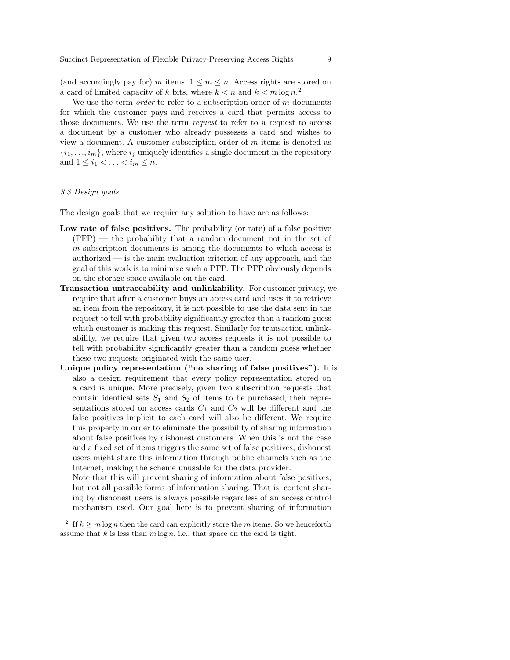(and accordingly pay for) m items,  $1 \leq m \leq n$ . Access rights are stored on a card of limited capacity of k bits, where  $k < n$  and  $k < m \log n$ .<sup>2</sup>

We use the term *order* to refer to a subscription order of  $m$  documents for which the customer pays and receives a card that permits access to those documents. We use the term request to refer to a request to access a document by a customer who already possesses a card and wishes to view a document. A customer subscription order of m items is denoted as  $\{i_1, \ldots, i_m\}$ , where  $i_j$  uniquely identifies a single document in the repository and  $1 \leq i_1 < \ldots < i_m \leq n$ .

# 3.3 Design goals

The design goals that we require any solution to have are as follows:

- Low rate of false positives. The probability (or rate) of a false positive (PFP) — the probability that a random document not in the set of m subscription documents is among the documents to which access is  $\alpha$ authorized — is the main evaluation criterion of any approach, and the goal of this work is to minimize such a PFP. The PFP obviously depends on the storage space available on the card.
- Transaction untraceability and unlinkability. For customer privacy, we require that after a customer buys an access card and uses it to retrieve an item from the repository, it is not possible to use the data sent in the request to tell with probability significantly greater than a random guess which customer is making this request. Similarly for transaction unlinkability, we require that given two access requests it is not possible to tell with probability significantly greater than a random guess whether these two requests originated with the same user.
- Unique policy representation ("no sharing of false positives"). It is also a design requirement that every policy representation stored on a card is unique. More precisely, given two subscription requests that contain identical sets  $S_1$  and  $S_2$  of items to be purchased, their representations stored on access cards  $C_1$  and  $C_2$  will be different and the false positives implicit to each card will also be different. We require this property in order to eliminate the possibility of sharing information about false positives by dishonest customers. When this is not the case and a fixed set of items triggers the same set of false positives, dishonest users might share this information through public channels such as the Internet, making the scheme unusable for the data provider.

Note that this will prevent sharing of information about false positives, but not all possible forms of information sharing. That is, content sharing by dishonest users is always possible regardless of an access control mechanism used. Our goal here is to prevent sharing of information

<sup>&</sup>lt;sup>2</sup> If  $k \ge m \log n$  then the card can explicitly store the m items. So we henceforth assume that  $k$  is less than  $m \log n$ , i.e., that space on the card is tight.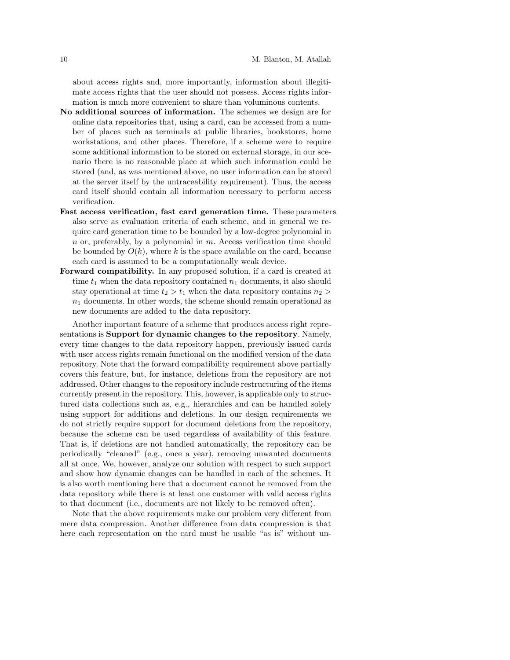about access rights and, more importantly, information about illegitimate access rights that the user should not possess. Access rights information is much more convenient to share than voluminous contents.

- No additional sources of information. The schemes we design are for online data repositories that, using a card, can be accessed from a number of places such as terminals at public libraries, bookstores, home workstations, and other places. Therefore, if a scheme were to require some additional information to be stored on external storage, in our scenario there is no reasonable place at which such information could be stored (and, as was mentioned above, no user information can be stored at the server itself by the untraceability requirement). Thus, the access card itself should contain all information necessary to perform access verification.
- Fast access verification, fast card generation time. These parameters also serve as evaluation criteria of each scheme, and in general we require card generation time to be bounded by a low-degree polynomial in  $n$  or, preferably, by a polynomial in  $m$ . Access verification time should be bounded by  $O(k)$ , where k is the space available on the card, because each card is assumed to be a computationally weak device.
- Forward compatibility. In any proposed solution, if a card is created at time  $t_1$  when the data repository contained  $n_1$  documents, it also should stay operational at time  $t_2 > t_1$  when the data repository contains  $n_2 >$  $n_1$  documents. In other words, the scheme should remain operational as new documents are added to the data repository.

Another important feature of a scheme that produces access right representations is Support for dynamic changes to the repository. Namely, every time changes to the data repository happen, previously issued cards with user access rights remain functional on the modified version of the data repository. Note that the forward compatibility requirement above partially covers this feature, but, for instance, deletions from the repository are not addressed. Other changes to the repository include restructuring of the items currently present in the repository. This, however, is applicable only to structured data collections such as, e.g., hierarchies and can be handled solely using support for additions and deletions. In our design requirements we do not strictly require support for document deletions from the repository, because the scheme can be used regardless of availability of this feature. That is, if deletions are not handled automatically, the repository can be periodically "cleaned" (e.g., once a year), removing unwanted documents all at once. We, however, analyze our solution with respect to such support and show how dynamic changes can be handled in each of the schemes. It is also worth mentioning here that a document cannot be removed from the data repository while there is at least one customer with valid access rights to that document (i.e., documents are not likely to be removed often).

Note that the above requirements make our problem very different from mere data compression. Another difference from data compression is that here each representation on the card must be usable "as is" without un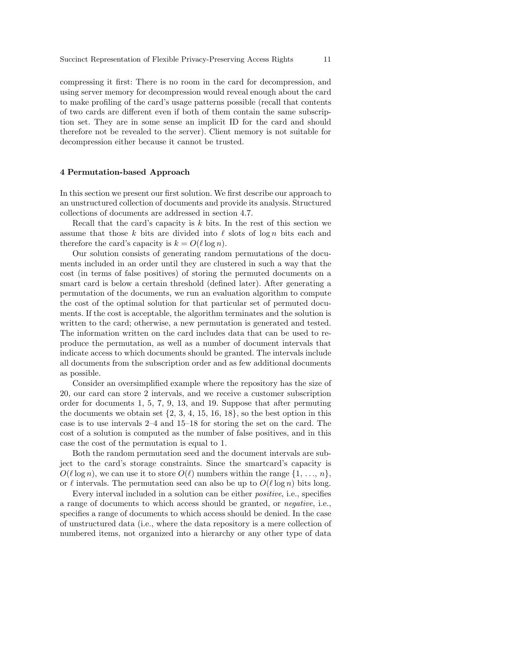compressing it first: There is no room in the card for decompression, and using server memory for decompression would reveal enough about the card to make profiling of the card's usage patterns possible (recall that contents of two cards are different even if both of them contain the same subscription set. They are in some sense an implicit ID for the card and should therefore not be revealed to the server). Client memory is not suitable for decompression either because it cannot be trusted.

#### 4 Permutation-based Approach

In this section we present our first solution. We first describe our approach to an unstructured collection of documents and provide its analysis. Structured collections of documents are addressed in section 4.7.

Recall that the card's capacity is  $k$  bits. In the rest of this section we assume that those k bits are divided into  $\ell$  slots of log n bits each and therefore the card's capacity is  $k = O(\ell \log n)$ .

Our solution consists of generating random permutations of the documents included in an order until they are clustered in such a way that the cost (in terms of false positives) of storing the permuted documents on a smart card is below a certain threshold (defined later). After generating a permutation of the documents, we run an evaluation algorithm to compute the cost of the optimal solution for that particular set of permuted documents. If the cost is acceptable, the algorithm terminates and the solution is written to the card; otherwise, a new permutation is generated and tested. The information written on the card includes data that can be used to reproduce the permutation, as well as a number of document intervals that indicate access to which documents should be granted. The intervals include all documents from the subscription order and as few additional documents as possible.

Consider an oversimplified example where the repository has the size of 20, our card can store 2 intervals, and we receive a customer subscription order for documents 1, 5, 7, 9, 13, and 19. Suppose that after permuting the documents we obtain set  $\{2, 3, 4, 15, 16, 18\}$ , so the best option in this case is to use intervals 2–4 and 15–18 for storing the set on the card. The cost of a solution is computed as the number of false positives, and in this case the cost of the permutation is equal to 1.

Both the random permutation seed and the document intervals are subject to the card's storage constraints. Since the smartcard's capacity is  $O(\ell \log n)$ , we can use it to store  $O(\ell)$  numbers within the range  $\{1, \ldots, n\}$ , or  $\ell$  intervals. The permutation seed can also be up to  $O(\ell \log n)$  bits long.

Every interval included in a solution can be either positive, i.e., specifies a range of documents to which access should be granted, or negative, i.e., specifies a range of documents to which access should be denied. In the case of unstructured data (i.e., where the data repository is a mere collection of numbered items, not organized into a hierarchy or any other type of data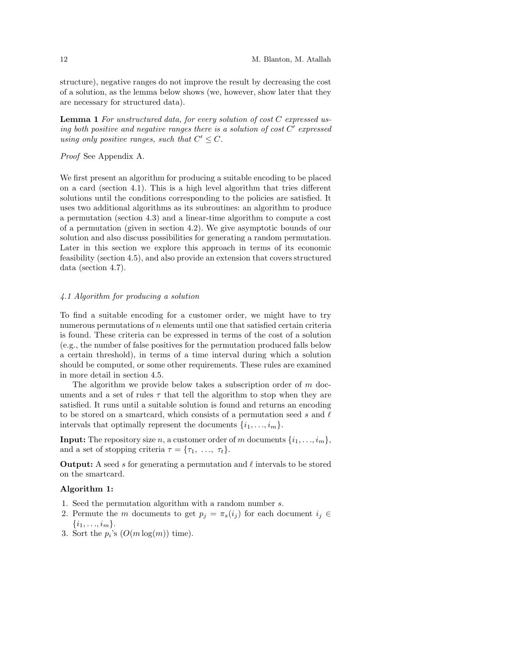structure), negative ranges do not improve the result by decreasing the cost of a solution, as the lemma below shows (we, however, show later that they are necessary for structured data).

**Lemma 1** For unstructured data, for every solution of cost  $C$  expressed using both positive and negative ranges there is a solution of cost  $C'$  expressed using only positive ranges, such that  $C' \leq C$ .

# Proof See Appendix A.

We first present an algorithm for producing a suitable encoding to be placed on a card (section 4.1). This is a high level algorithm that tries different solutions until the conditions corresponding to the policies are satisfied. It uses two additional algorithms as its subroutines: an algorithm to produce a permutation (section 4.3) and a linear-time algorithm to compute a cost of a permutation (given in section 4.2). We give asymptotic bounds of our solution and also discuss possibilities for generating a random permutation. Later in this section we explore this approach in terms of its economic feasibility (section 4.5), and also provide an extension that covers structured data (section 4.7).

#### 4.1 Algorithm for producing a solution

To find a suitable encoding for a customer order, we might have to try numerous permutations of  $n$  elements until one that satisfied certain criteria is found. These criteria can be expressed in terms of the cost of a solution (e.g., the number of false positives for the permutation produced falls below a certain threshold), in terms of a time interval during which a solution should be computed, or some other requirements. These rules are examined in more detail in section 4.5.

The algorithm we provide below takes a subscription order of m documents and a set of rules  $\tau$  that tell the algorithm to stop when they are satisfied. It runs until a suitable solution is found and returns an encoding to be stored on a smartcard, which consists of a permutation seed s and  $\ell$ intervals that optimally represent the documents  $\{i_1, \ldots, i_m\}$ .

**Input:** The repository size n, a customer order of m documents  $\{i_1, \ldots, i_m\}$ , and a set of stopping criteria  $\tau = {\tau_1, \ldots, \tau_t}.$ 

**Output:** A seed s for generating a permutation and  $\ell$  intervals to be stored on the smartcard.

## Algorithm 1:

- 1. Seed the permutation algorithm with a random number s.
- 2. Permute the m documents to get  $p_j = \pi_s(i_j)$  for each document  $i_j \in$  $\{i_1, \ldots, i_m\}.$
- 3. Sort the  $p_i$ 's  $(O(m \log(m))$  time).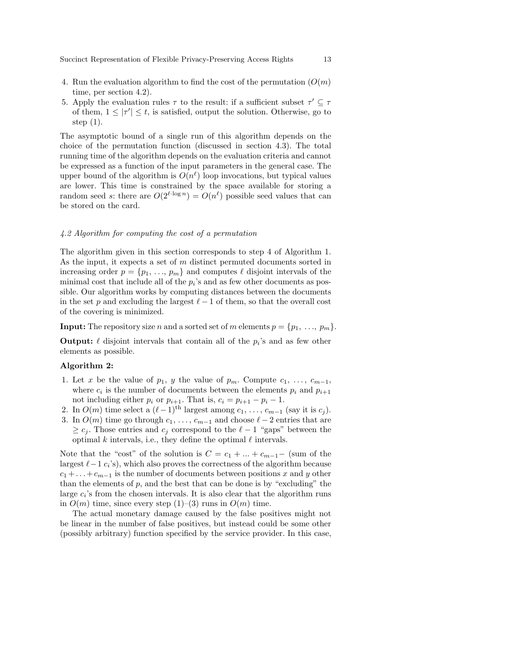- 4. Run the evaluation algorithm to find the cost of the permutation  $(O(m))$ time, per section 4.2).
- 5. Apply the evaluation rules  $\tau$  to the result: if a sufficient subset  $\tau' \subseteq \tau$ of them,  $1 \leq |\tau'| \leq t$ , is satisfied, output the solution. Otherwise, go to step (1).

The asymptotic bound of a single run of this algorithm depends on the choice of the permutation function (discussed in section 4.3). The total running time of the algorithm depends on the evaluation criteria and cannot be expressed as a function of the input parameters in the general case. The upper bound of the algorithm is  $O(n^{\ell})$  loop invocations, but typical values are lower. This time is constrained by the space available for storing a random seed s: there are  $O(2^{\ell \cdot \log n}) = O(n^{\ell})$  possible seed values that can be stored on the card.

# 4.2 Algorithm for computing the cost of a permutation

The algorithm given in this section corresponds to step 4 of Algorithm 1. As the input, it expects a set of m distinct permuted documents sorted in increasing order  $p = \{p_1, \ldots, p_m\}$  and computes  $\ell$  disjoint intervals of the minimal cost that include all of the  $p_i$ 's and as few other documents as possible. Our algorithm works by computing distances between the documents in the set p and excluding the largest  $\ell - 1$  of them, so that the overall cost of the covering is minimized.

**Input:** The repository size n and a sorted set of m elements  $p = \{p_1, \ldots, p_m\}$ .

**Output:**  $\ell$  disjoint intervals that contain all of the  $p_i$ 's and as few other elements as possible.

## Algorithm 2:

- 1. Let x be the value of  $p_1, y$  the value of  $p_m$ . Compute  $c_1, \ldots, c_{m-1}$ , where  $c_i$  is the number of documents between the elements  $p_i$  and  $p_{i+1}$ not including either  $p_i$  or  $p_{i+1}$ . That is,  $c_i = p_{i+1} - p_i - 1$ .
- 2. In  $O(m)$  time select a  $(\ell-1)$ <sup>th</sup> largest among  $c_1, \ldots, c_{m-1}$  (say it is  $c_j$ ).
- 3. In  $O(m)$  time go through  $c_1, \ldots, c_{m-1}$  and choose  $\ell 2$  entries that are  $\geq c_j$ . Those entries and  $c_j$  correspond to the  $\ell - 1$  "gaps" between the optimal k intervals, i.e., they define the optimal  $\ell$  intervals.

Note that the "cost" of the solution is  $C = c_1 + ... + c_{m-1}$  (sum of the largest  $\ell - 1$   $c_i$ 's), which also proves the correctness of the algorithm because  $c_1 + \ldots + c_{m-1}$  is the number of documents between positions x and y other than the elements of  $p$ , and the best that can be done is by "excluding" the large  $c_i$ 's from the chosen intervals. It is also clear that the algorithm runs in  $O(m)$  time, since every step  $(1)$ – $(3)$  runs in  $O(m)$  time.

The actual monetary damage caused by the false positives might not be linear in the number of false positives, but instead could be some other (possibly arbitrary) function specified by the service provider. In this case,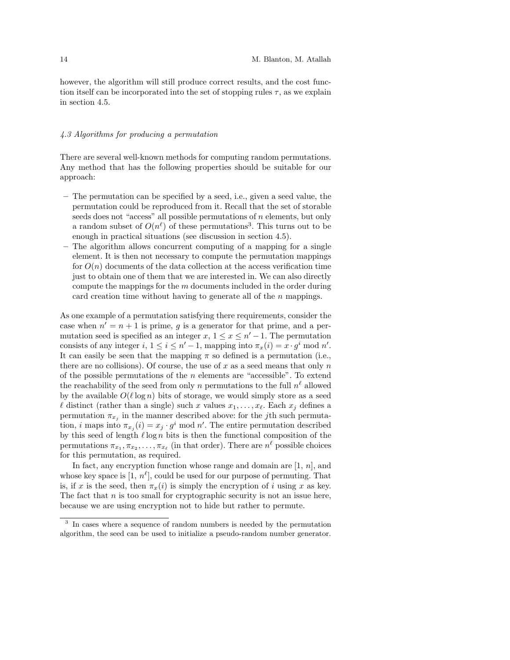however, the algorithm will still produce correct results, and the cost function itself can be incorporated into the set of stopping rules  $\tau$ , as we explain in section 4.5.

## 4.3 Algorithms for producing a permutation

There are several well-known methods for computing random permutations. Any method that has the following properties should be suitable for our approach:

- The permutation can be specified by a seed, i.e., given a seed value, the permutation could be reproduced from it. Recall that the set of storable seeds does not "access" all possible permutations of  $n$  elements, but only a random subset of  $O(n^{\ell})$  of these permutations<sup>3</sup>. This turns out to be enough in practical situations (see discussion in section 4.5).
- The algorithm allows concurrent computing of a mapping for a single element. It is then not necessary to compute the permutation mappings for  $O(n)$  documents of the data collection at the access verification time just to obtain one of them that we are interested in. We can also directly compute the mappings for the  $m$  documents included in the order during card creation time without having to generate all of the n mappings.

As one example of a permutation satisfying there requirements, consider the case when  $n' = n + 1$  is prime, g is a generator for that prime, and a permutation seed is specified as an integer x,  $1 \leq x \leq n'-1$ . The permutation consists of any integer  $i, 1 \le i \le n'-1$ , mapping into  $\pi_x(i) = x \cdot g^i \mod n'$ . It can easily be seen that the mapping  $\pi$  so defined is a permutation (i.e., there are no collisions). Of course, the use of  $x$  as a seed means that only  $n$ of the possible permutations of the  $n$  elements are "accessible". To extend the reachability of the seed from only n permutations to the full  $n^{\ell}$  allowed by the available  $O(\ell \log n)$  bits of storage, we would simply store as a seed  $\ell$  distinct (rather than a single) such x values  $x_1, \ldots, x_\ell$ . Each  $x_j$  defines a permutation  $\pi_{x_j}$  in the manner described above: for the *j*th such permutation, i maps into  $\pi_{x_j}(i) = x_j \cdot g^i \mod n'$ . The entire permutation described by this seed of length  $\ell \log n$  bits is then the functional composition of the permutations  $\pi_{x_1}, \pi_{x_2}, \ldots, \pi_{x_\ell}$  (in that order). There are  $n^\ell$  possible choices for this permutation, as required.

In fact, any encryption function whose range and domain are  $[1, n]$ , and whose key space is  $[1, n^{\ell}],$  could be used for our purpose of permuting. That is, if x is the seed, then  $\pi_x(i)$  is simply the encryption of i using x as key. The fact that  $n$  is too small for cryptographic security is not an issue here, because we are using encryption not to hide but rather to permute.

<sup>&</sup>lt;sup>3</sup> In cases where a sequence of random numbers is needed by the permutation algorithm, the seed can be used to initialize a pseudo-random number generator.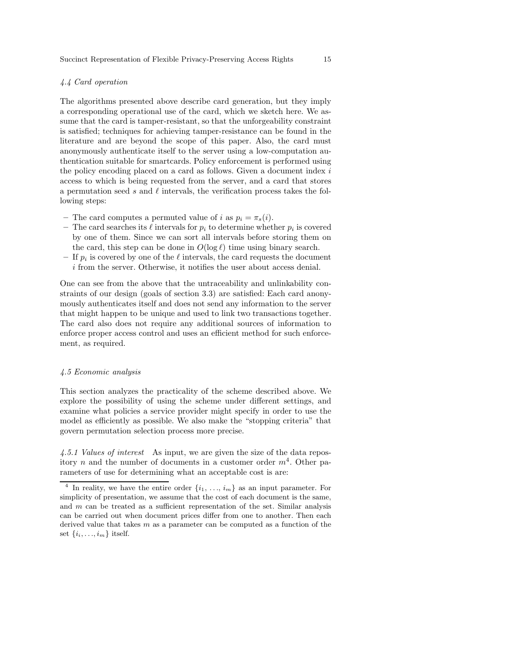# 4.4 Card operation

The algorithms presented above describe card generation, but they imply a corresponding operational use of the card, which we sketch here. We assume that the card is tamper-resistant, so that the unforgeability constraint is satisfied; techniques for achieving tamper-resistance can be found in the literature and are beyond the scope of this paper. Also, the card must anonymously authenticate itself to the server using a low-computation authentication suitable for smartcards. Policy enforcement is performed using the policy encoding placed on a card as follows. Given a document index  $i$ access to which is being requested from the server, and a card that stores a permutation seed s and  $\ell$  intervals, the verification process takes the following steps:

- The card computes a permuted value of i as  $p_i = \pi_s(i)$ .
- The card searches its  $\ell$  intervals for  $p_i$  to determine whether  $p_i$  is covered by one of them. Since we can sort all intervals before storing them on the card, this step can be done in  $O(\log \ell)$  time using binary search.
- If  $p_i$  is covered by one of the  $\ell$  intervals, the card requests the document i from the server. Otherwise, it notifies the user about access denial.

One can see from the above that the untraceability and unlinkability constraints of our design (goals of section 3.3) are satisfied: Each card anonymously authenticates itself and does not send any information to the server that might happen to be unique and used to link two transactions together. The card also does not require any additional sources of information to enforce proper access control and uses an efficient method for such enforcement, as required.

## 4.5 Economic analysis

This section analyzes the practicality of the scheme described above. We explore the possibility of using the scheme under different settings, and examine what policies a service provider might specify in order to use the model as efficiently as possible. We also make the "stopping criteria" that govern permutation selection process more precise.

4.5.1 Values of interest As input, we are given the size of the data repository *n* and the number of documents in a customer order  $m<sup>4</sup>$ . Other parameters of use for determining what an acceptable cost is are:

<sup>&</sup>lt;sup>4</sup> In reality, we have the entire order  $\{i_1, \ldots, i_m\}$  as an input parameter. For simplicity of presentation, we assume that the cost of each document is the same, and m can be treated as a sufficient representation of the set. Similar analysis can be carried out when document prices differ from one to another. Then each derived value that takes  $m$  as a parameter can be computed as a function of the set  $\{i_1, \ldots, i_m\}$  itself.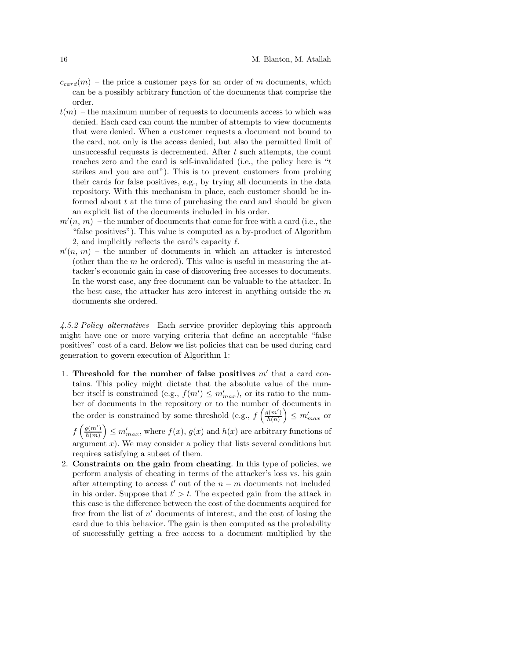- $c_{card}(m)$  the price a customer pays for an order of m documents, which can be a possibly arbitrary function of the documents that comprise the order.
- $t(m)$  the maximum number of requests to documents access to which was denied. Each card can count the number of attempts to view documents that were denied. When a customer requests a document not bound to the card, not only is the access denied, but also the permitted limit of unsuccessful requests is decremented. After  $t$  such attempts, the count reaches zero and the card is self-invalidated (i.e., the policy here is "t strikes and you are out"). This is to prevent customers from probing their cards for false positives, e.g., by trying all documents in the data repository. With this mechanism in place, each customer should be informed about  $t$  at the time of purchasing the card and should be given an explicit list of the documents included in his order.
- $m'(n, m)$  the number of documents that come for free with a card (i.e., the "false positives"). This value is computed as a by-product of Algorithm 2, and implicitly reflects the card's capacity  $\ell$ .
- $n'(n, m)$  the number of documents in which an attacker is interested (other than the  $m$  he ordered). This value is useful in measuring the attacker's economic gain in case of discovering free accesses to documents. In the worst case, any free document can be valuable to the attacker. In the best case, the attacker has zero interest in anything outside the  $m$ documents she ordered.

4.5.2 Policy alternatives Each service provider deploying this approach might have one or more varying criteria that define an acceptable "false positives" cost of a card. Below we list policies that can be used during card generation to govern execution of Algorithm 1:

1. Threshold for the number of false positives  $m'$  that a card contains. This policy might dictate that the absolute value of the number itself is constrained (e.g.,  $f(m') \leq m'_{max}$ ), or its ratio to the number of documents in the repository or to the number of documents in the order is constrained by some threshold (e.g.,  $f\left(\frac{g(m')}{h(n)}\right)$  $\frac{g(m')}{h(n)}$   $\leq m'_{max}$  or

 $f\left(\frac{g(m')}{h(m)}\right)$  $\left(\frac{g(m')}{h(m)}\right) \leq m'_{max}$ , where  $f(x)$ ,  $g(x)$  and  $h(x)$  are arbitrary functions of argument  $x$ ). We may consider a policy that lists several conditions but requires satisfying a subset of them.

2. Constraints on the gain from cheating. In this type of policies, we perform analysis of cheating in terms of the attacker's loss vs. his gain after attempting to access  $\tilde{t}'$  out of the  $n - m$  documents not included in his order. Suppose that  $t' > t$ . The expected gain from the attack in this case is the difference between the cost of the documents acquired for free from the list of  $n'$  documents of interest, and the cost of losing the card due to this behavior. The gain is then computed as the probability of successfully getting a free access to a document multiplied by the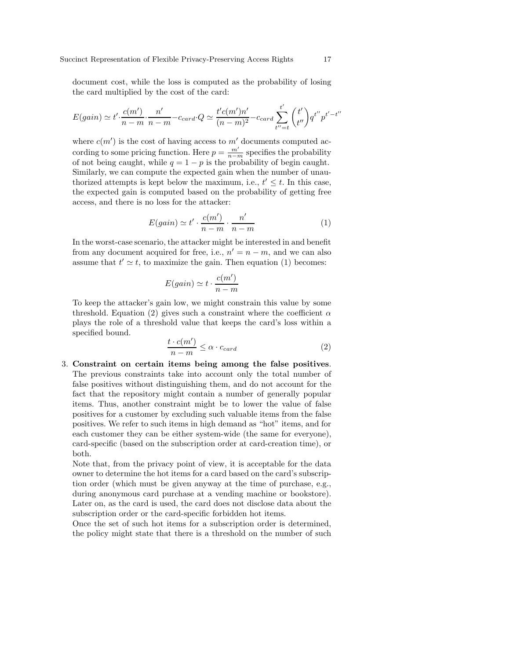document cost, while the loss is computed as the probability of losing the card multiplied by the cost of the card:

$$
E(gain) \simeq t' \cdot \frac{c(m')}{n-m} \cdot \frac{n'}{n-m} - c_{card} \cdot Q \simeq \frac{t'c(m')n'}{(n-m)^2} - c_{card} \sum_{t''=t}^{t'} {t' \choose t''} q^{t''} p^{t'-t''}
$$

where  $c(m')$  is the cost of having access to m' documents computed according to some pricing function. Here  $p = \frac{m'}{n-m}$  specifies the probability of not being caught, while  $q = 1 - p$  is the probability of begin caught. Similarly, we can compute the expected gain when the number of unauthorized attempts is kept below the maximum, i.e.,  $t' \leq t$ . In this case, the expected gain is computed based on the probability of getting free access, and there is no loss for the attacker:

$$
E(gain) \simeq t' \cdot \frac{c(m')}{n-m} \cdot \frac{n'}{n-m}
$$
 (1)

In the worst-case scenario, the attacker might be interested in and benefit from any document acquired for free, i.e.,  $n' = n - m$ , and we can also assume that  $t' \simeq t$ , to maximize the gain. Then equation (1) becomes:

$$
E(gain) \simeq t \cdot \frac{c(m')}{n-m}
$$

To keep the attacker's gain low, we might constrain this value by some threshold. Equation (2) gives such a constraint where the coefficient  $\alpha$ plays the role of a threshold value that keeps the card's loss within a specified bound.

$$
\frac{t \cdot c(m')}{n-m} \le \alpha \cdot c_{card} \tag{2}
$$

3. Constraint on certain items being among the false positives. The previous constraints take into account only the total number of false positives without distinguishing them, and do not account for the fact that the repository might contain a number of generally popular items. Thus, another constraint might be to lower the value of false positives for a customer by excluding such valuable items from the false positives. We refer to such items in high demand as "hot" items, and for each customer they can be either system-wide (the same for everyone), card-specific (based on the subscription order at card-creation time), or both.

Note that, from the privacy point of view, it is acceptable for the data owner to determine the hot items for a card based on the card's subscription order (which must be given anyway at the time of purchase, e.g., during anonymous card purchase at a vending machine or bookstore). Later on, as the card is used, the card does not disclose data about the subscription order or the card-specific forbidden hot items.

Once the set of such hot items for a subscription order is determined, the policy might state that there is a threshold on the number of such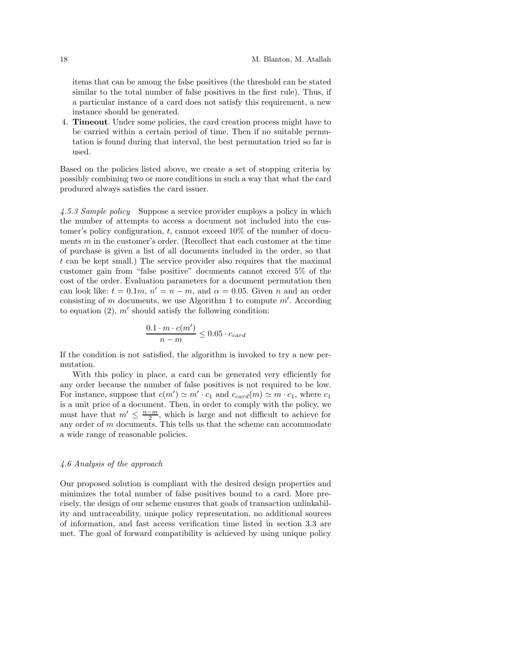items that can be among the false positives (the threshold can be stated similar to the total number of false positives in the first rule). Thus, if a particular instance of a card does not satisfy this requirement, a new instance should be generated.

4. Timeout. Under some policies, the card creation process might have to be carried within a certain period of time. Then if no suitable permutation is found during that interval, the best permutation tried so far is used.

Based on the policies listed above, we create a set of stopping criteria by possibly combining two or more conditions in such a way that what the card produced always satisfies the card issuer.

4.5.3 Sample policy Suppose a service provider employs a policy in which the number of attempts to access a document not included into the customer's policy configuration, t, cannot exceed 10% of the number of documents  $m$  in the customer's order. (Recollect that each customer at the time of purchase is given a list of all documents included in the order, so that t can be kept small.) The service provider also requires that the maximal customer gain from "false positive" documents cannot exceed 5% of the cost of the order. Evaluation parameters for a document permutation then can look like:  $t = 0.1m$ ,  $n' = n - m$ , and  $\alpha = 0.05$ . Given n and an order consisting of  $m$  documents, we use Algorithm 1 to compute  $m'$ . According to equation  $(2)$ ,  $m'$  should satisfy the following condition:

$$
\frac{0.1 \cdot m \cdot c(m')}{n-m} \leq 0.05 \cdot c_{card}
$$

If the condition is not satisfied, the algorithm is invoked to try a new permutation.

With this policy in place, a card can be generated very efficiently for any order because the number of false positives is not required to be low. For instance, suppose that  $c(m') \simeq m' \cdot c_1$  and  $c_{card}(m) \simeq m \cdot c_1$ , where  $c_1$ is a unit price of a document. Then, in order to comply with the policy, we must have that  $m' \leq \frac{n-m}{2}$ , which is large and not difficult to achieve for any order of  $m$  documents. This tells us that the scheme can accommodate a wide range of reasonable policies.

#### 4.6 Analysis of the approach

Our proposed solution is compliant with the desired design properties and minimizes the total number of false positives bound to a card. More precisely, the design of our scheme ensures that goals of transaction unlinkability and untraceability, unique policy representation, no additional sources of information, and fast access verification time listed in section 3.3 are met. The goal of forward compatibility is achieved by using unique policy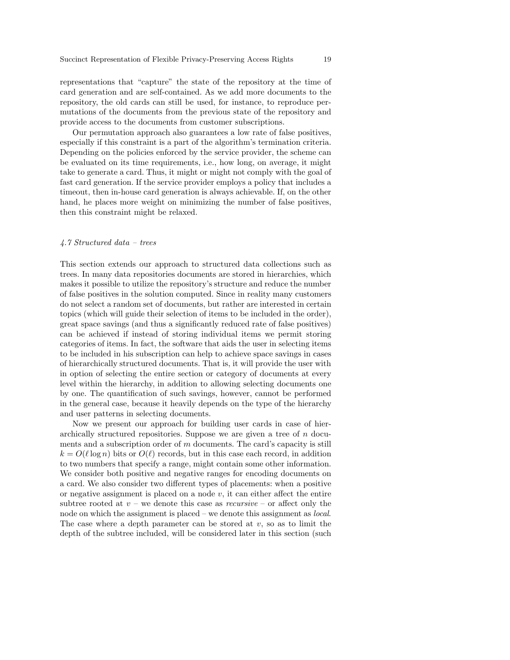representations that "capture" the state of the repository at the time of card generation and are self-contained. As we add more documents to the repository, the old cards can still be used, for instance, to reproduce permutations of the documents from the previous state of the repository and provide access to the documents from customer subscriptions.

Our permutation approach also guarantees a low rate of false positives, especially if this constraint is a part of the algorithm's termination criteria. Depending on the policies enforced by the service provider, the scheme can be evaluated on its time requirements, i.e., how long, on average, it might take to generate a card. Thus, it might or might not comply with the goal of fast card generation. If the service provider employs a policy that includes a timeout, then in-house card generation is always achievable. If, on the other hand, he places more weight on minimizing the number of false positives, then this constraint might be relaxed.

#### 4.7 Structured data – trees

This section extends our approach to structured data collections such as trees. In many data repositories documents are stored in hierarchies, which makes it possible to utilize the repository's structure and reduce the number of false positives in the solution computed. Since in reality many customers do not select a random set of documents, but rather are interested in certain topics (which will guide their selection of items to be included in the order), great space savings (and thus a significantly reduced rate of false positives) can be achieved if instead of storing individual items we permit storing categories of items. In fact, the software that aids the user in selecting items to be included in his subscription can help to achieve space savings in cases of hierarchically structured documents. That is, it will provide the user with in option of selecting the entire section or category of documents at every level within the hierarchy, in addition to allowing selecting documents one by one. The quantification of such savings, however, cannot be performed in the general case, because it heavily depends on the type of the hierarchy and user patterns in selecting documents.

Now we present our approach for building user cards in case of hierarchically structured repositories. Suppose we are given a tree of n documents and a subscription order of  $m$  documents. The card's capacity is still  $k = O(\ell \log n)$  bits or  $O(\ell)$  records, but in this case each record, in addition to two numbers that specify a range, might contain some other information. We consider both positive and negative ranges for encoding documents on a card. We also consider two different types of placements: when a positive or negative assignment is placed on a node  $v$ , it can either affect the entire subtree rooted at  $v$  – we denote this case as *recursive* – or affect only the node on which the assignment is placed – we denote this assignment as *local*. The case where a depth parameter can be stored at  $v$ , so as to limit the depth of the subtree included, will be considered later in this section (such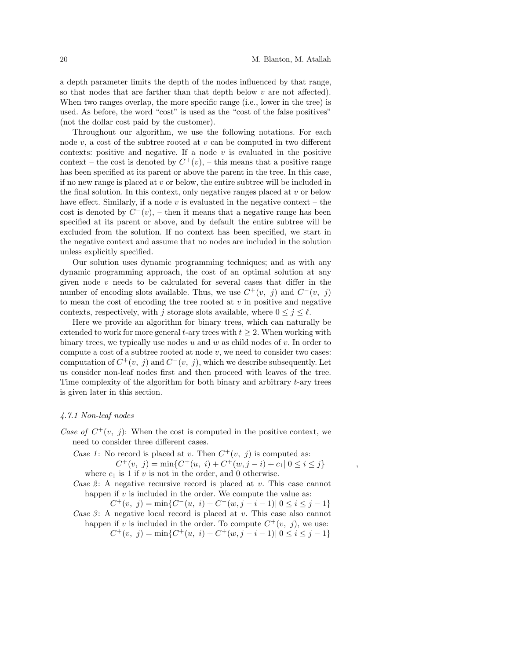a depth parameter limits the depth of the nodes influenced by that range, so that nodes that are farther than that depth below  $v$  are not affected). When two ranges overlap, the more specific range (i.e., lower in the tree) is used. As before, the word "cost" is used as the "cost of the false positives" (not the dollar cost paid by the customer).

Throughout our algorithm, we use the following notations. For each node v, a cost of the subtree rooted at v can be computed in two different contexts: positive and negative. If a node  $v$  is evaluated in the positive context – the cost is denoted by  $C^+(v)$ , – this means that a positive range has been specified at its parent or above the parent in the tree. In this case, if no new range is placed at  $v$  or below, the entire subtree will be included in the final solution. In this context, only negative ranges placed at  $v$  or below have effect. Similarly, if a node  $v$  is evaluated in the negative context – the cost is denoted by  $C^-(v)$ , – then it means that a negative range has been specified at its parent or above, and by default the entire subtree will be excluded from the solution. If no context has been specified, we start in the negative context and assume that no nodes are included in the solution unless explicitly specified.

Our solution uses dynamic programming techniques; and as with any dynamic programming approach, the cost of an optimal solution at any given node  $v$  needs to be calculated for several cases that differ in the number of encoding slots available. Thus, we use  $C^+(v, j)$  and  $C^-(v, j)$ to mean the cost of encoding the tree rooted at  $v$  in positive and negative contexts, respectively, with j storage slots available, where  $0 \leq j \leq \ell$ .

Here we provide an algorithm for binary trees, which can naturally be extended to work for more general t-ary trees with  $t > 2$ . When working with binary trees, we typically use nodes  $u$  and  $w$  as child nodes of  $v$ . In order to compute a cost of a subtree rooted at node  $v$ , we need to consider two cases: computation of  $C^+(v, j)$  and  $C^-(v, j)$ , which we describe subsequently. Let us consider non-leaf nodes first and then proceed with leaves of the tree. Time complexity of the algorithm for both binary and arbitrary t-ary trees is given later in this section.

#### 4.7.1 Non-leaf nodes

Case of  $C^+(v, j)$ : When the cost is computed in the positive context, we need to consider three different cases.

- Case 1: No record is placed at v. Then  $C^+(v, j)$  is computed as:
	- $C^+(v, j) = \min\{C^+(u, i) + C^+(w, j i) + c_1 | 0 \le i \le j\}$ , where  $c_1$  is 1 if v is not in the order, and 0 otherwise.
- Case 2: A negative recursive record is placed at v. This case cannot happen if  $v$  is included in the order. We compute the value as:
- $C^+(v, j) = \min\{C^-(u, i) + C^-(w, j i 1)| 0 \le i \le j 1\}$ Case  $3$ : A negative local record is placed at  $v$ . This case also cannot happen if v is included in the order. To compute  $C^+(v, j)$ , we use:
	- $C^+(v, j) = \min\{C^+(u, i) + C^+(w, j i 1)| 0 \le i \le j 1\}$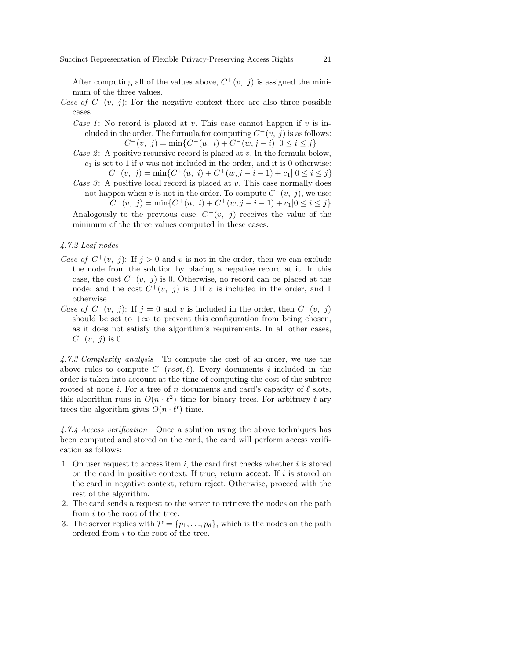After computing all of the values above,  $C^+(v, j)$  is assigned the minimum of the three values.

- Case of  $C^-(v, j)$ : For the negative context there are also three possible cases.
	- Case 1: No record is placed at v. This case cannot happen if v is included in the order. The formula for computing  $C^-(v, j)$  is as follows:  $C^-(v, j) = \min\{C^-(u, i) + C^-(w, j - i) | 0 \le i \le j\}$
	- Case 2: A positive recursive record is placed at  $v$ . In the formula below,  $c_1$  is set to 1 if v was not included in the order, and it is 0 otherwise:
	- $C^-(v, j) = \min\{C^+(u, i) + C^+(w, j i 1) + c_1 | 0 \le i \le j\}$ Case  $3$ : A positive local record is placed at  $v$ . This case normally does not happen when v is not in the order. To compute  $C^-(v, j)$ , we use:
	- $C^-(v, j) = \min\{C^+(u, i) + C^+(w, j i 1) + c_1|0 \le i \le j\}$ Analogously to the previous case,  $C^-(v, j)$  receives the value of the

minimum of the three values computed in these cases.

# 4.7.2 Leaf nodes

- Case of  $C^+(v, j)$ : If  $j > 0$  and v is not in the order, then we can exclude the node from the solution by placing a negative record at it. In this case, the cost  $C^+(v, j)$  is 0. Otherwise, no record can be placed at the node; and the cost  $C^+(v, j)$  is 0 if v is included in the order, and 1 otherwise.
- Case of  $C^-(v, j)$ : If  $j = 0$  and v is included in the order, then  $C^-(v, j)$ should be set to  $+\infty$  to prevent this configuration from being chosen, as it does not satisfy the algorithm's requirements. In all other cases,  $C^-(v, j)$  is 0.

4.7.3 Complexity analysis To compute the cost of an order, we use the above rules to compute  $C^-(root, \ell)$ . Every documents i included in the order is taken into account at the time of computing the cost of the subtree rooted at node i. For a tree of n documents and card's capacity of  $\ell$  slots, this algorithm runs in  $O(n \cdot \ell^2)$  time for binary trees. For arbitrary t-ary trees the algorithm gives  $O(n \cdot \ell^t)$  time.

4.7.4 Access verification Once a solution using the above techniques has been computed and stored on the card, the card will perform access verification as follows:

- 1. On user request to access item  $i$ , the card first checks whether  $i$  is stored on the card in positive context. If true, return accept. If  $i$  is stored on the card in negative context, return reject. Otherwise, proceed with the rest of the algorithm.
- 2. The card sends a request to the server to retrieve the nodes on the path from  $i$  to the root of the tree.
- 3. The server replies with  $\mathcal{P} = \{p_1, \ldots, p_d\}$ , which is the nodes on the path ordered from i to the root of the tree.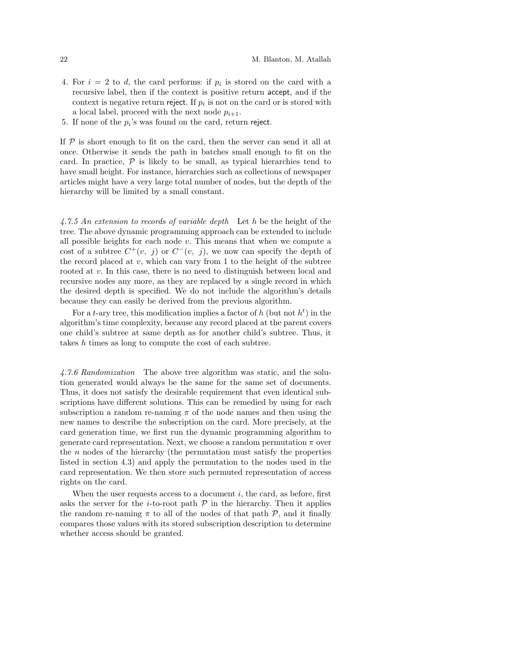- 4. For  $i = 2$  to d, the card performs: if  $p_i$  is stored on the card with a recursive label, then if the context is positive return accept, and if the context is negative return reject. If  $p_i$  is not on the card or is stored with a local label, proceed with the next node  $p_{i+1}$ .
- 5. If none of the  $p_i$ 's was found on the card, return reject.

If  $P$  is short enough to fit on the card, then the server can send it all at once. Otherwise it sends the path in batches small enough to fit on the card. In practice,  $\mathcal P$  is likely to be small, as typical hierarchies tend to have small height. For instance, hierarchies such as collections of newspaper articles might have a very large total number of nodes, but the depth of the hierarchy will be limited by a small constant.

4.7.5 An extension to records of variable depth Let h be the height of the tree. The above dynamic programming approach can be extended to include all possible heights for each node  $v$ . This means that when we compute a cost of a subtree  $C^+(v, j)$  or  $C^-(v, j)$ , we now can specify the depth of the record placed at  $v$ , which can vary from 1 to the height of the subtree rooted at v. In this case, there is no need to distinguish between local and recursive nodes any more, as they are replaced by a single record in which the desired depth is specified. We do not include the algorithm's details because they can easily be derived from the previous algorithm.

For a t-ary tree, this modification implies a factor of h (but not  $h^t$ ) in the algorithm's time complexity, because any record placed at the parent covers one child's subtree at same depth as for another child's subtree. Thus, it takes h times as long to compute the cost of each subtree.

4.7.6 Randomization The above tree algorithm was static, and the solution generated would always be the same for the same set of documents. Thus, it does not satisfy the desirable requirement that even identical subscriptions have different solutions. This can be remedied by using for each subscription a random re-naming  $\pi$  of the node names and then using the new names to describe the subscription on the card. More precisely, at the card generation time, we first run the dynamic programming algorithm to generate card representation. Next, we choose a random permutation  $\pi$  over the  $n$  nodes of the hierarchy (the permutation must satisfy the properties listed in section 4.3) and apply the permutation to the nodes used in the card representation. We then store such permuted representation of access rights on the card.

When the user requests access to a document  $i$ , the card, as before, first asks the server for the *i*-to-root path  $P$  in the hierarchy. Then it applies the random re-naming  $\pi$  to all of the nodes of that path  $P$ , and it finally compares those values with its stored subscription description to determine whether access should be granted.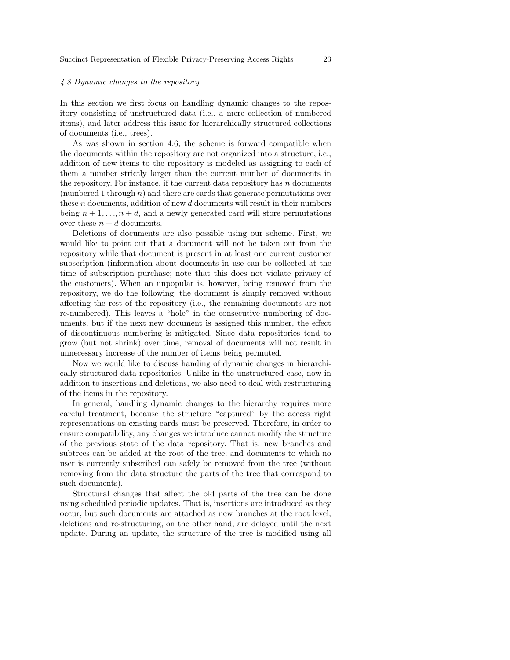## 4.8 Dynamic changes to the repository

In this section we first focus on handling dynamic changes to the repository consisting of unstructured data (i.e., a mere collection of numbered items), and later address this issue for hierarchically structured collections of documents (i.e., trees).

As was shown in section 4.6, the scheme is forward compatible when the documents within the repository are not organized into a structure, i.e., addition of new items to the repository is modeled as assigning to each of them a number strictly larger than the current number of documents in the repository. For instance, if the current data repository has  $n$  documents (numbered 1 through  $n$ ) and there are cards that generate permutations over these  $n$  documents, addition of new  $d$  documents will result in their numbers being  $n + 1, \ldots, n + d$ , and a newly generated card will store permutations over these  $n + d$  documents.

Deletions of documents are also possible using our scheme. First, we would like to point out that a document will not be taken out from the repository while that document is present in at least one current customer subscription (information about documents in use can be collected at the time of subscription purchase; note that this does not violate privacy of the customers). When an unpopular is, however, being removed from the repository, we do the following: the document is simply removed without affecting the rest of the repository (i.e., the remaining documents are not re-numbered). This leaves a "hole" in the consecutive numbering of documents, but if the next new document is assigned this number, the effect of discontinuous numbering is mitigated. Since data repositories tend to grow (but not shrink) over time, removal of documents will not result in unnecessary increase of the number of items being permuted.

Now we would like to discuss handing of dynamic changes in hierarchically structured data repositories. Unlike in the unstructured case, now in addition to insertions and deletions, we also need to deal with restructuring of the items in the repository.

In general, handling dynamic changes to the hierarchy requires more careful treatment, because the structure "captured" by the access right representations on existing cards must be preserved. Therefore, in order to ensure compatibility, any changes we introduce cannot modify the structure of the previous state of the data repository. That is, new branches and subtrees can be added at the root of the tree; and documents to which no user is currently subscribed can safely be removed from the tree (without removing from the data structure the parts of the tree that correspond to such documents).

Structural changes that affect the old parts of the tree can be done using scheduled periodic updates. That is, insertions are introduced as they occur, but such documents are attached as new branches at the root level; deletions and re-structuring, on the other hand, are delayed until the next update. During an update, the structure of the tree is modified using all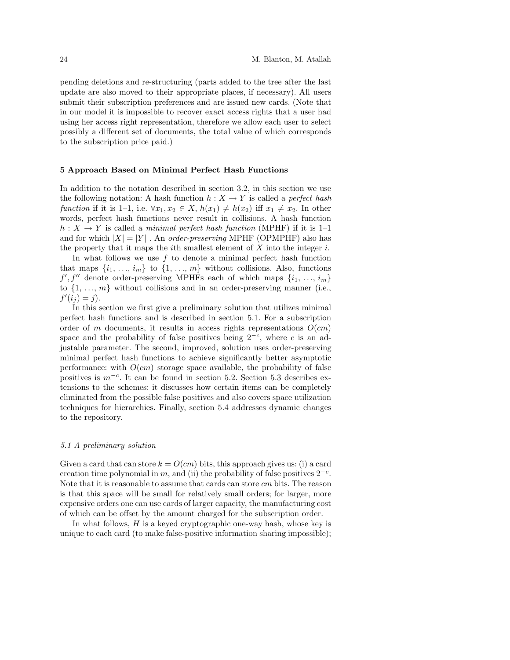pending deletions and re-structuring (parts added to the tree after the last update are also moved to their appropriate places, if necessary). All users submit their subscription preferences and are issued new cards. (Note that in our model it is impossible to recover exact access rights that a user had using her access right representation, therefore we allow each user to select possibly a different set of documents, the total value of which corresponds to the subscription price paid.)

# 5 Approach Based on Minimal Perfect Hash Functions

In addition to the notation described in section 3.2, in this section we use the following notation: A hash function  $h: X \to Y$  is called a *perfect hash* function if it is 1–1, i.e.  $\forall x_1, x_2 \in X$ ,  $h(x_1) \neq h(x_2)$  iff  $x_1 \neq x_2$ . In other words, perfect hash functions never result in collisions. A hash function  $h: X \to Y$  is called a minimal perfect hash function (MPHF) if it is 1–1 and for which  $|X| = |Y|$ . An *order-preserving* MPHF (OPMPHF) also has the property that it maps the *i*th smallest element of  $X$  into the integer  $i$ .

In what follows we use  $f$  to denote a minimal perfect hash function that maps  $\{i_1, \ldots, i_m\}$  to  $\{1, \ldots, m\}$  without collisions. Also, functions  $f', f''$  denote order-preserving MPHFs each of which maps  $\{i_1, \ldots, i_m\}$ to  $\{1, \ldots, m\}$  without collisions and in an order-preserving manner (i.e.,  $f'(i_j) = j$ .

In this section we first give a preliminary solution that utilizes minimal perfect hash functions and is described in section 5.1. For a subscription order of m documents, it results in access rights representations  $O(cm)$ space and the probability of false positives being  $2^{-c}$ , where c is an adjustable parameter. The second, improved, solution uses order-preserving minimal perfect hash functions to achieve significantly better asymptotic performance: with  $O(cm)$  storage space available, the probability of false positives is  $m^{-c}$ . It can be found in section 5.2. Section 5.3 describes extensions to the schemes: it discusses how certain items can be completely eliminated from the possible false positives and also covers space utilization techniques for hierarchies. Finally, section 5.4 addresses dynamic changes to the repository.

#### 5.1 A preliminary solution

Given a card that can store  $k = O(cm)$  bits, this approach gives us: (i) a card creation time polynomial in m, and (ii) the probability of false positives  $2^{-c}$ . Note that it is reasonable to assume that cards can store cm bits. The reason is that this space will be small for relatively small orders; for larger, more expensive orders one can use cards of larger capacity, the manufacturing cost of which can be offset by the amount charged for the subscription order.

In what follows,  $H$  is a keyed cryptographic one-way hash, whose key is unique to each card (to make false-positive information sharing impossible);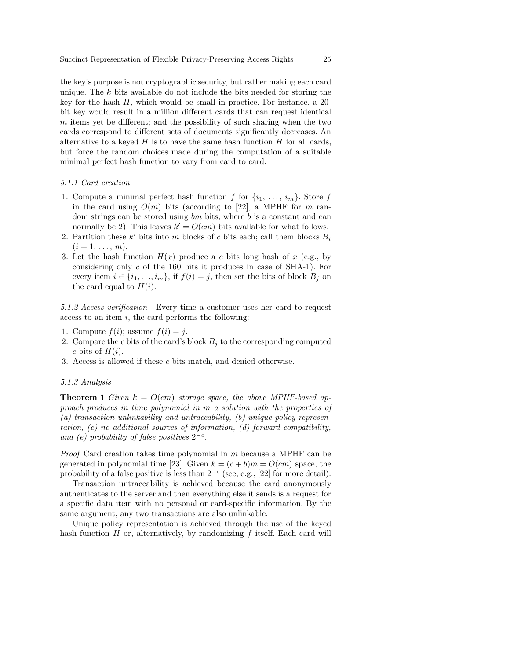the key's purpose is not cryptographic security, but rather making each card unique. The  $k$  bits available do not include the bits needed for storing the key for the hash  $H$ , which would be small in practice. For instance, a 20bit key would result in a million different cards that can request identical  $m$  items yet be different; and the possibility of such sharing when the two cards correspond to different sets of documents significantly decreases. An alternative to a keyed  $H$  is to have the same hash function  $H$  for all cards, but force the random choices made during the computation of a suitable minimal perfect hash function to vary from card to card.

## 5.1.1 Card creation

- 1. Compute a minimal perfect hash function f for  $\{i_1, \ldots, i_m\}$ . Store f in the card using  $O(m)$  bits (according to [22], a MPHF for m random strings can be stored using  $bm$  bits, where  $b$  is a constant and can normally be 2). This leaves  $k' = O(cm)$  bits available for what follows.
- 2. Partition these  $k'$  bits into m blocks of c bits each; call them blocks  $B_i$  $(i = 1, \ldots, m).$
- 3. Let the hash function  $H(x)$  produce a c bits long hash of x (e.g., by considering only c of the 160 bits it produces in case of SHA-1). For every item  $i \in \{i_1, \ldots, i_m\}$ , if  $f(i) = j$ , then set the bits of block  $B_j$  on the card equal to  $H(i)$ .

5.1.2 Access verification Every time a customer uses her card to request access to an item  $i$ , the card performs the following:

- 1. Compute  $f(i)$ ; assume  $f(i) = j$ .
- 2. Compare the c bits of the card's block  $B_j$  to the corresponding computed c bits of  $H(i)$ .
- 3. Access is allowed if these c bits match, and denied otherwise.

#### 5.1.3 Analysis

**Theorem 1** Given  $k = O(cm)$  storage space, the above MPHF-based approach produces in time polynomial in m a solution with the properties of (a) transaction unlinkability and untraceability, (b) unique policy representation, (c) no additional sources of information, (d) forward compatibility, and (e) probability of false positives  $2^{-c}$ .

*Proof* Card creation takes time polynomial in  $m$  because a MPHF can be generated in polynomial time [23]. Given  $k = (c + b)m = O(cm)$  space, the probability of a false positive is less than  $2^{-c}$  (see, e.g., [22] for more detail).

Transaction untraceability is achieved because the card anonymously authenticates to the server and then everything else it sends is a request for a specific data item with no personal or card-specific information. By the same argument, any two transactions are also unlinkable.

Unique policy representation is achieved through the use of the keyed hash function  $H$  or, alternatively, by randomizing  $f$  itself. Each card will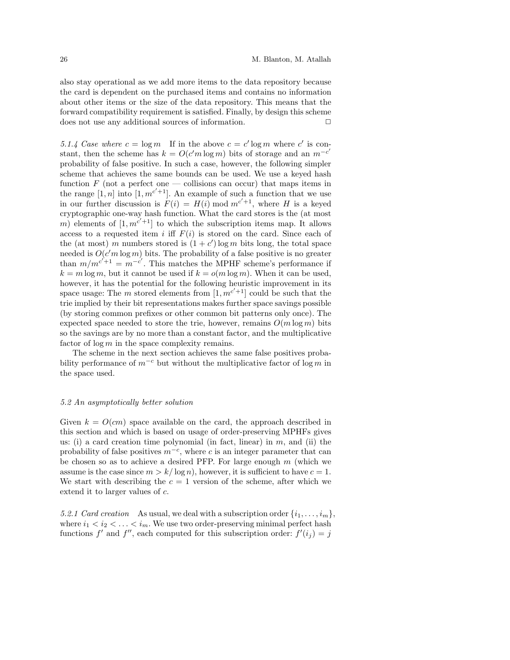also stay operational as we add more items to the data repository because the card is dependent on the purchased items and contains no information about other items or the size of the data repository. This means that the forward compatibility requirement is satisfied. Finally, by design this scheme does not use any additional sources of information.  $\Box$ 

5.1.4 Case where  $c = \log m$  If in the above  $c = c' \log m$  where c' is constant, then the scheme has  $k = O(c'm \log m)$  bits of storage and an  $m^{-c'}$ probability of false positive. In such a case, however, the following simpler scheme that achieves the same bounds can be used. We use a keyed hash function  $F$  (not a perfect one — collisions can occur) that maps items in the range  $[1, n]$  into  $[1, m^{c'+1}]$ . An example of such a function that we use in our further discussion is  $F(i) = H(i) \mod m^{c'+1}$ , where H is a keyed cryptographic one-way hash function. What the card stores is the (at most m) elements of  $[1, m^{c'+1}]$  to which the subscription items map. It allows access to a requested item i iff  $F(i)$  is stored on the card. Since each of the (at most) m numbers stored is  $(1 + c') \log m$  bits long, the total space needed is  $O(c'm \log m)$  bits. The probability of a false positive is no greater than  $m/m^{c'+1} = m^{-c'}$ . This matches the MPHF scheme's performance if  $k = m \log m$ , but it cannot be used if  $k = o(m \log m)$ . When it can be used, however, it has the potential for the following heuristic improvement in its space usage: The m stored elements from  $[1, m^{c'+1}]$  could be such that the trie implied by their bit representations makes further space savings possible (by storing common prefixes or other common bit patterns only once). The expected space needed to store the trie, however, remains  $O(m \log m)$  bits so the savings are by no more than a constant factor, and the multiplicative factor of  $\log m$  in the space complexity remains.

The scheme in the next section achieves the same false positives probability performance of  $m^{-c}$  but without the multiplicative factor of log m in the space used.

## 5.2 An asymptotically better solution

Given  $k = O(cm)$  space available on the card, the approach described in this section and which is based on usage of order-preserving MPHFs gives us: (i) a card creation time polynomial (in fact, linear) in  $m$ , and (ii) the probability of false positives  $m^{-c}$ , where c is an integer parameter that can be chosen so as to achieve a desired PFP. For large enough  $m$  (which we assume is the case since  $m > k/\log n$ , however, it is sufficient to have  $c = 1$ . We start with describing the  $c = 1$  version of the scheme, after which we extend it to larger values of c.

5.2.1 Card creation As usual, we deal with a subscription order  $\{i_1, \ldots, i_m\}$ , where  $i_1 < i_2 < \ldots < i_m$ . We use two order-preserving minimal perfect hash functions  $f'$  and  $f''$ , each computed for this subscription order:  $f'(i_j) = j$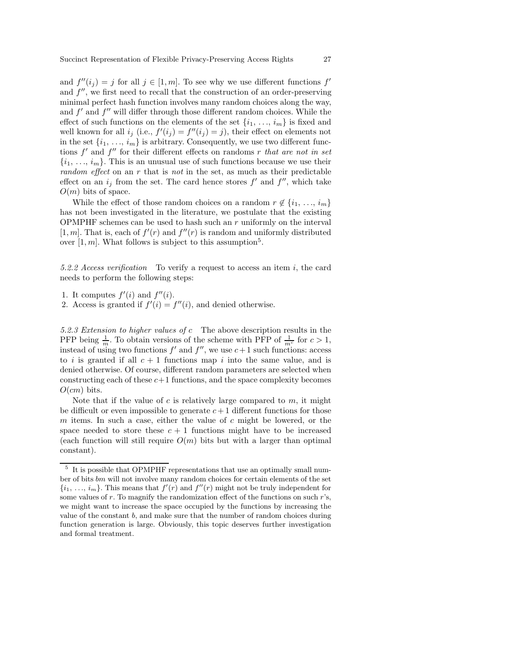and  $f''(i_j) = j$  for all  $j \in [1, m]$ . To see why we use different functions  $f'$ and  $f''$ , we first need to recall that the construction of an order-preserving minimal perfect hash function involves many random choices along the way, and  $f'$  and  $f''$  will differ through those different random choices. While the effect of such functions on the elements of the set  $\{i_1, \ldots, i_m\}$  is fixed and well known for all  $i_j$  (i.e.,  $f'(i_j) = f''(i_j) = j$ ), their effect on elements not in the set  $\{i_1, \ldots, i_m\}$  is arbitrary. Consequently, we use two different functions  $f'$  and  $f''$  for their different effects on randoms r that are not in set  $\{i_1, \ldots, i_m\}$ . This is an unusual use of such functions because we use their random effect on an  $r$  that is not in the set, as much as their predictable effect on an  $i_j$  from the set. The card hence stores  $f'$  and  $f''$ , which take  $O(m)$  bits of space.

While the effect of those random choices on a random  $r \notin \{i_1, \ldots, i_m\}$ has not been investigated in the literature, we postulate that the existing OPMPHF schemes can be used to hash such an  $r$  uniformly on the interval [1, m]. That is, each of  $f'(r)$  and  $f''(r)$  is random and uniformly distributed over  $[1, m]$ . What follows is subject to this assumption<sup>5</sup>.

5.2.2 Access verification To verify a request to access an item i, the card needs to perform the following steps:

1. It computes  $f'(i)$  and  $f''(i)$ .

2. Access is granted if  $f'(i) = f''(i)$ , and denied otherwise.

5.2.3 Extension to higher values of  $c$  The above description results in the PFP being  $\frac{1}{m}$ . To obtain versions of the scheme with PFP of  $\frac{1}{m^c}$  for  $c > 1$ , instead of using two functions  $f'$  and  $f''$ , we use  $c+1$  such functions: access to i is granted if all  $c + 1$  functions map i into the same value, and is denied otherwise. Of course, different random parameters are selected when constructing each of these  $c+1$  functions, and the space complexity becomes  $O(cm)$  bits.

Note that if the value of  $c$  is relatively large compared to  $m$ , it might be difficult or even impossible to generate  $c+1$  different functions for those  $m$  items. In such a case, either the value of  $c$  might be lowered, or the space needed to store these  $c + 1$  functions might have to be increased (each function will still require  $O(m)$  bits but with a larger than optimal constant).

<sup>&</sup>lt;sup>5</sup> It is possible that OPMPHF representations that use an optimally small number of bits bm will not involve many random choices for certain elements of the set  $\{i_1, \ldots, i_m\}$ . This means that  $f'(r)$  and  $f''(r)$  might not be truly independent for some values of  $r$ . To magnify the randomization effect of the functions on such  $r$ 's, we might want to increase the space occupied by the functions by increasing the value of the constant  $b$ , and make sure that the number of random choices during function generation is large. Obviously, this topic deserves further investigation and formal treatment.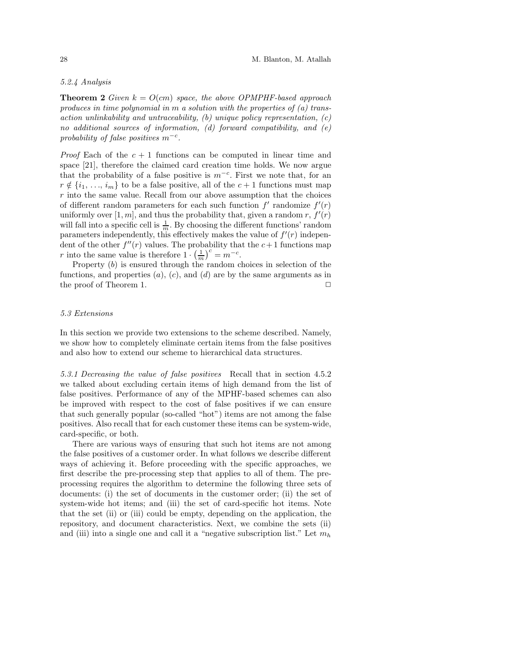# 5.2.4 Analysis

**Theorem 2** Given  $k = O(cm)$  space, the above OPMPHF-based approach produces in time polynomial in m a solution with the properties of  $(a)$  transaction unlinkability and untraceability, (b) unique policy representation, (c) no additional sources of information, (d) forward compatibility, and (e) probability of false positives  $m^{-c}$ .

*Proof* Each of the  $c + 1$  functions can be computed in linear time and space [21], therefore the claimed card creation time holds. We now argue that the probability of a false positive is  $m^{-c}$ . First we note that, for an  $r \notin \{i_1, \ldots, i_m\}$  to be a false positive, all of the  $c + 1$  functions must map r into the same value. Recall from our above assumption that the choices of different random parameters for each such function  $f'$  randomize  $f'(r)$ uniformly over  $[1, m]$ , and thus the probability that, given a random r,  $f'(r)$ will fall into a specific cell is  $\frac{1}{m}$ . By choosing the different functions' random parameters independently, this effectively makes the value of  $f'(r)$  independent of the other  $f''(r)$  values. The probability that the  $c+1$  functions map r into the same value is therefore  $1 \cdot \left(\frac{1}{m}\right)^c = m^{-c}$ .

Property (b) is ensured through the random choices in selection of the functions, and properties  $(a)$ ,  $(c)$ , and  $(d)$  are by the same arguments as in the proof of Theorem 1.  $\Box$ 

# 5.3 Extensions

In this section we provide two extensions to the scheme described. Namely, we show how to completely eliminate certain items from the false positives and also how to extend our scheme to hierarchical data structures.

5.3.1 Decreasing the value of false positives Recall that in section 4.5.2 we talked about excluding certain items of high demand from the list of false positives. Performance of any of the MPHF-based schemes can also be improved with respect to the cost of false positives if we can ensure that such generally popular (so-called "hot") items are not among the false positives. Also recall that for each customer these items can be system-wide, card-specific, or both.

There are various ways of ensuring that such hot items are not among the false positives of a customer order. In what follows we describe different ways of achieving it. Before proceeding with the specific approaches, we first describe the pre-processing step that applies to all of them. The preprocessing requires the algorithm to determine the following three sets of documents: (i) the set of documents in the customer order; (ii) the set of system-wide hot items; and (iii) the set of card-specific hot items. Note that the set (ii) or (iii) could be empty, depending on the application, the repository, and document characteristics. Next, we combine the sets (ii) and (iii) into a single one and call it a "negative subscription list." Let  $m_h$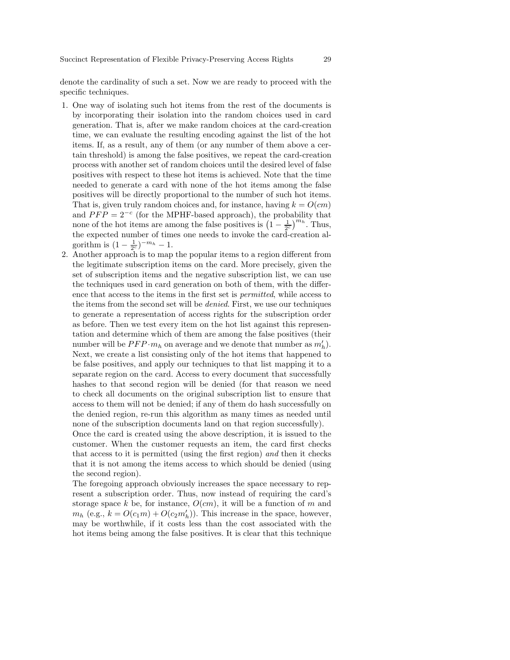denote the cardinality of such a set. Now we are ready to proceed with the specific techniques.

- 1. One way of isolating such hot items from the rest of the documents is by incorporating their isolation into the random choices used in card generation. That is, after we make random choices at the card-creation time, we can evaluate the resulting encoding against the list of the hot items. If, as a result, any of them (or any number of them above a certain threshold) is among the false positives, we repeat the card-creation process with another set of random choices until the desired level of false positives with respect to these hot items is achieved. Note that the time needed to generate a card with none of the hot items among the false positives will be directly proportional to the number of such hot items. That is, given truly random choices and, for instance, having  $k = O(cm)$ and  $P\ddot{F}P = 2^{-c}$  (for the MPHF-based approach), the probability that none of the hot items are among the false positives is  $\left(1 - \frac{1}{2^c}\right)^{m_h}$ . Thus, the expected number of times one needs to invoke the card-creation algorithm is  $(1 - \frac{1}{2^c})^{-m_h} - 1$ .
- 2. Another approach is to map the popular items to a region different from the legitimate subscription items on the card. More precisely, given the set of subscription items and the negative subscription list, we can use the techniques used in card generation on both of them, with the difference that access to the items in the first set is permitted, while access to the items from the second set will be denied. First, we use our techniques to generate a representation of access rights for the subscription order as before. Then we test every item on the hot list against this representation and determine which of them are among the false positives (their number will be  $PFP \cdot m_h$  on average and we denote that number as  $m'_h$ . Next, we create a list consisting only of the hot items that happened to be false positives, and apply our techniques to that list mapping it to a separate region on the card. Access to every document that successfully hashes to that second region will be denied (for that reason we need to check all documents on the original subscription list to ensure that access to them will not be denied; if any of them do hash successfully on the denied region, re-run this algorithm as many times as needed until none of the subscription documents land on that region successfully).

Once the card is created using the above description, it is issued to the customer. When the customer requests an item, the card first checks that access to it is permitted (using the first region) and then it checks that it is not among the items access to which should be denied (using the second region).

The foregoing approach obviously increases the space necessary to represent a subscription order. Thus, now instead of requiring the card's storage space k be, for instance,  $O(cm)$ , it will be a function of m and  $m_h$  (e.g.,  $k = O(c_1m) + O(c_2m'_h)$ ). This increase in the space, however, may be worthwhile, if it costs less than the cost associated with the hot items being among the false positives. It is clear that this technique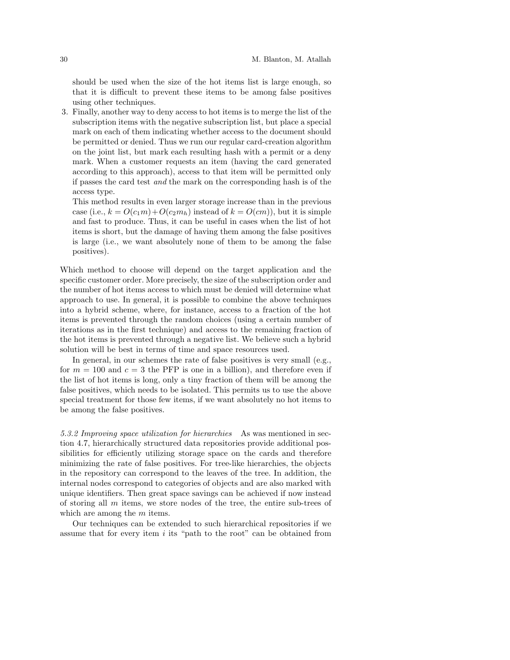should be used when the size of the hot items list is large enough, so that it is difficult to prevent these items to be among false positives using other techniques.

3. Finally, another way to deny access to hot items is to merge the list of the subscription items with the negative subscription list, but place a special mark on each of them indicating whether access to the document should be permitted or denied. Thus we run our regular card-creation algorithm on the joint list, but mark each resulting hash with a permit or a deny mark. When a customer requests an item (having the card generated according to this approach), access to that item will be permitted only if passes the card test and the mark on the corresponding hash is of the access type.

This method results in even larger storage increase than in the previous case (i.e.,  $k = O(c_1m) + O(c_2m_h)$  instead of  $k = O(cm)$ ), but it is simple and fast to produce. Thus, it can be useful in cases when the list of hot items is short, but the damage of having them among the false positives is large (i.e., we want absolutely none of them to be among the false positives).

Which method to choose will depend on the target application and the specific customer order. More precisely, the size of the subscription order and the number of hot items access to which must be denied will determine what approach to use. In general, it is possible to combine the above techniques into a hybrid scheme, where, for instance, access to a fraction of the hot items is prevented through the random choices (using a certain number of iterations as in the first technique) and access to the remaining fraction of the hot items is prevented through a negative list. We believe such a hybrid solution will be best in terms of time and space resources used.

In general, in our schemes the rate of false positives is very small (e.g., for  $m = 100$  and  $c = 3$  the PFP is one in a billion), and therefore even if the list of hot items is long, only a tiny fraction of them will be among the false positives, which needs to be isolated. This permits us to use the above special treatment for those few items, if we want absolutely no hot items to be among the false positives.

5.3.2 Improving space utilization for hierarchies As was mentioned in section 4.7, hierarchically structured data repositories provide additional possibilities for efficiently utilizing storage space on the cards and therefore minimizing the rate of false positives. For tree-like hierarchies, the objects in the repository can correspond to the leaves of the tree. In addition, the internal nodes correspond to categories of objects and are also marked with unique identifiers. Then great space savings can be achieved if now instead of storing all  $m$  items, we store nodes of the tree, the entire sub-trees of which are among the  $m$  items.

Our techniques can be extended to such hierarchical repositories if we assume that for every item  $i$  its "path to the root" can be obtained from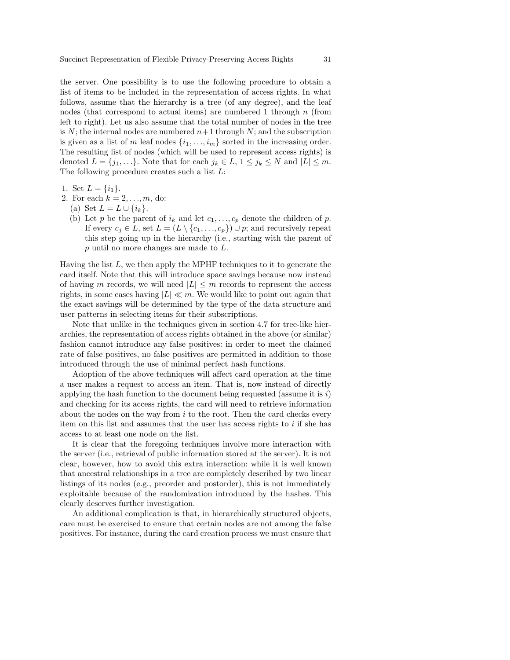the server. One possibility is to use the following procedure to obtain a list of items to be included in the representation of access rights. In what follows, assume that the hierarchy is a tree (of any degree), and the leaf nodes (that correspond to actual items) are numbered 1 through  $n$  (from left to right). Let us also assume that the total number of nodes in the tree is  $N$ ; the internal nodes are numbered  $n+1$  through  $N$ ; and the subscription is given as a list of m leaf nodes  $\{i_1, \ldots, i_m\}$  sorted in the increasing order. The resulting list of nodes (which will be used to represent access rights) is denoted  $L = \{j_1, ...\}$ . Note that for each  $j_k \in L$ ,  $1 \le j_k \le N$  and  $|L| \le m$ . The following procedure creates such a list L:

- 1. Set  $L = \{i_1\}.$
- 2. For each  $k = 2, ..., m$ , do:
	- (a) Set  $L = L \cup \{i_k\}$ .
	- (b) Let p be the parent of  $i_k$  and let  $c_1, \ldots, c_p$  denote the children of p. If every  $c_j \in L$ , set  $L = (L \setminus \{c_1, \ldots, c_p\}) \cup p$ ; and recursively repeat this step going up in the hierarchy (i.e., starting with the parent of p until no more changes are made to L.

Having the list  $L$ , we then apply the MPHF techniques to it to generate the card itself. Note that this will introduce space savings because now instead of having m records, we will need  $|L| \leq m$  records to represent the access rights, in some cases having  $|L| \ll m$ . We would like to point out again that the exact savings will be determined by the type of the data structure and user patterns in selecting items for their subscriptions.

Note that unlike in the techniques given in section 4.7 for tree-like hierarchies, the representation of access rights obtained in the above (or similar) fashion cannot introduce any false positives: in order to meet the claimed rate of false positives, no false positives are permitted in addition to those introduced through the use of minimal perfect hash functions.

Adoption of the above techniques will affect card operation at the time a user makes a request to access an item. That is, now instead of directly applying the hash function to the document being requested (assume it is  $i$ ) and checking for its access rights, the card will need to retrieve information about the nodes on the way from  $i$  to the root. Then the card checks every item on this list and assumes that the user has access rights to i if she has access to at least one node on the list.

It is clear that the foregoing techniques involve more interaction with the server (i.e., retrieval of public information stored at the server). It is not clear, however, how to avoid this extra interaction: while it is well known that ancestral relationships in a tree are completely described by two linear listings of its nodes (e.g., preorder and postorder), this is not immediately exploitable because of the randomization introduced by the hashes. This clearly deserves further investigation.

An additional complication is that, in hierarchically structured objects, care must be exercised to ensure that certain nodes are not among the false positives. For instance, during the card creation process we must ensure that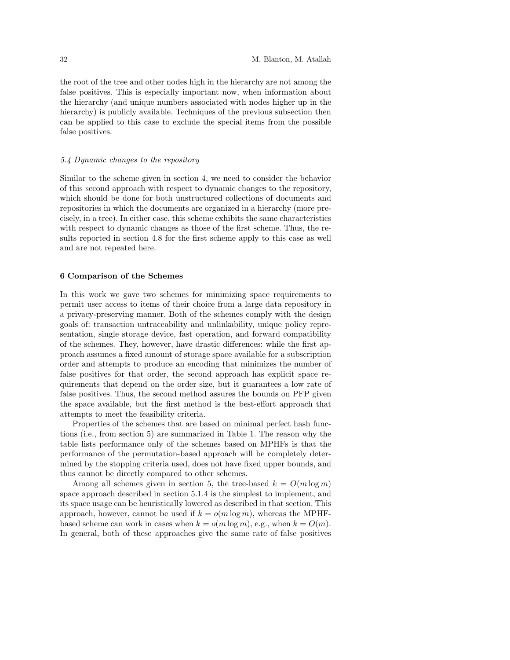the root of the tree and other nodes high in the hierarchy are not among the false positives. This is especially important now, when information about the hierarchy (and unique numbers associated with nodes higher up in the hierarchy) is publicly available. Techniques of the previous subsection then can be applied to this case to exclude the special items from the possible false positives.

## 5.4 Dynamic changes to the repository

Similar to the scheme given in section 4, we need to consider the behavior of this second approach with respect to dynamic changes to the repository, which should be done for both unstructured collections of documents and repositories in which the documents are organized in a hierarchy (more precisely, in a tree). In either case, this scheme exhibits the same characteristics with respect to dynamic changes as those of the first scheme. Thus, the results reported in section 4.8 for the first scheme apply to this case as well and are not repeated here.

#### 6 Comparison of the Schemes

In this work we gave two schemes for minimizing space requirements to permit user access to items of their choice from a large data repository in a privacy-preserving manner. Both of the schemes comply with the design goals of: transaction untraceability and unlinkability, unique policy representation, single storage device, fast operation, and forward compatibility of the schemes. They, however, have drastic differences: while the first approach assumes a fixed amount of storage space available for a subscription order and attempts to produce an encoding that minimizes the number of false positives for that order, the second approach has explicit space requirements that depend on the order size, but it guarantees a low rate of false positives. Thus, the second method assures the bounds on PFP given the space available, but the first method is the best-effort approach that attempts to meet the feasibility criteria.

Properties of the schemes that are based on minimal perfect hash functions (i.e., from section 5) are summarized in Table 1. The reason why the table lists performance only of the schemes based on MPHFs is that the performance of the permutation-based approach will be completely determined by the stopping criteria used, does not have fixed upper bounds, and thus cannot be directly compared to other schemes.

Among all schemes given in section 5, the tree-based  $k = O(m \log m)$ space approach described in section 5.1.4 is the simplest to implement, and its space usage can be heuristically lowered as described in that section. This approach, however, cannot be used if  $k = o(m \log m)$ , whereas the MPHFbased scheme can work in cases when  $k = o(m \log m)$ , e.g., when  $k = O(m)$ . In general, both of these approaches give the same rate of false positives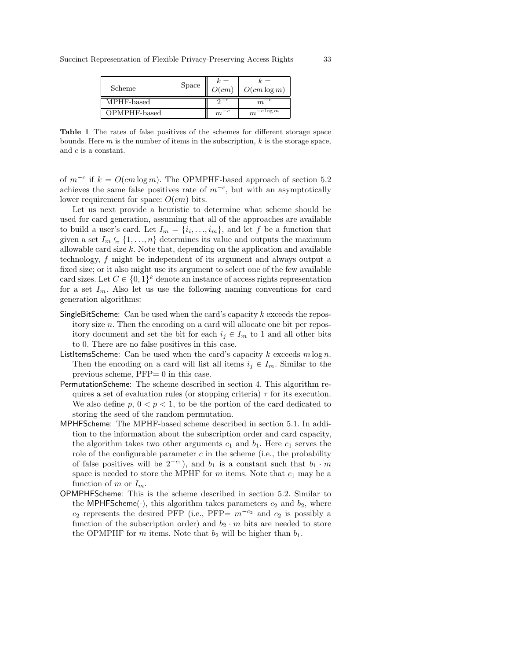| <b>Scheme</b> | Space | $k =$<br>O(cm) | $\equiv$<br>$O(cm \log m)$ |
|---------------|-------|----------------|----------------------------|
| MPHF-based    |       | $2-c$          | m                          |
| OPMPHF-based  |       | $m^{-c}$       | $m^{-c \overline{\log m}}$ |

Table 1 The rates of false positives of the schemes for different storage space bounds. Here  $m$  is the number of items in the subscription,  $k$  is the storage space, and c is a constant.

of  $m^{-c}$  if  $k = O(cm \log m)$ . The OPMPHF-based approach of section 5.2 achieves the same false positives rate of  $m^{-c}$ , but with an asymptotically lower requirement for space:  $O(cm)$  bits.

Let us next provide a heuristic to determine what scheme should be used for card generation, assuming that all of the approaches are available to build a user's card. Let  $I_m = \{i_1, \ldots, i_m\}$ , and let f be a function that given a set  $I_m \subseteq \{1, ..., n\}$  determines its value and outputs the maximum allowable card size  $k$ . Note that, depending on the application and available technology, f might be independent of its argument and always output a fixed size; or it also might use its argument to select one of the few available card sizes. Let  $C \in \{0,1\}^k$  denote an instance of access rights representation for a set  $I_m$ . Also let us use the following naming conventions for card generation algorithms:

- SingleBitScheme: Can be used when the card's capacity  $k$  exceeds the repository size n. Then the encoding on a card will allocate one bit per repository document and set the bit for each  $i_j \in I_m$  to 1 and all other bits to 0. There are no false positives in this case.
- ListItemsScheme: Can be used when the card's capacity k exceeds  $m \log n$ . Then the encoding on a card will list all items  $i_j \in I_m$ . Similar to the previous scheme, PFP= 0 in this case.
- PermutationScheme: The scheme described in section 4. This algorithm requires a set of evaluation rules (or stopping criteria)  $\tau$  for its execution. We also define  $p, 0 < p < 1$ , to be the portion of the card dedicated to storing the seed of the random permutation.
- MPHFScheme: The MPHF-based scheme described in section 5.1. In addition to the information about the subscription order and card capacity, the algorithm takes two other arguments  $c_1$  and  $b_1$ . Here  $c_1$  serves the role of the configurable parameter  $c$  in the scheme (i.e., the probability of false positives will be  $2^{-c_1}$ ), and  $b_1$  is a constant such that  $b_1 \cdot m$ space is needed to store the MPHF for  $m$  items. Note that  $c_1$  may be a function of m or  $I_m$ .
- OPMPHFScheme: This is the scheme described in section 5.2. Similar to the MPHFScheme( $\cdot$ ), this algorithm takes parameters  $c_2$  and  $b_2$ , where  $c_2$  represents the desired PFP (i.e., PFP=  $m^{-c_2}$  and  $c_2$  is possibly a function of the subscription order) and  $b_2 \cdot m$  bits are needed to store the OPMPHF for m items. Note that  $b_2$  will be higher than  $b_1$ .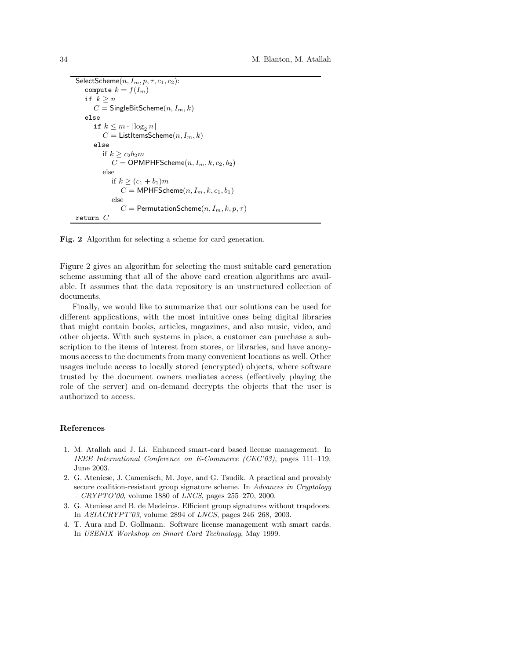```
SelectScheme(n, I_m, p, \tau, c_1, c_2):
compute k = f(I_m)if k > nC = SingleBitScheme(n, I_m, k)else
   if k \leq m \cdot \lceil \log_2 n \rceilC = ListItemsScheme(n, I_m, k)else
      if k > c_2b_2mC = \text{OPMPHFScheme}(n, I_m, k, c_2, b_2)else
         if k \ge (c_1 + b_1)mC = \text{MPHFScheme}(n, I_m, k, c_1, b_1)else
             C = PermutationScheme(n, I_m, k, p, \tau)return C
```
Fig. 2 Algorithm for selecting a scheme for card generation.

Figure 2 gives an algorithm for selecting the most suitable card generation scheme assuming that all of the above card creation algorithms are available. It assumes that the data repository is an unstructured collection of documents.

Finally, we would like to summarize that our solutions can be used for different applications, with the most intuitive ones being digital libraries that might contain books, articles, magazines, and also music, video, and other objects. With such systems in place, a customer can purchase a subscription to the items of interest from stores, or libraries, and have anonymous access to the documents from many convenient locations as well. Other usages include access to locally stored (encrypted) objects, where software trusted by the document owners mediates access (effectively playing the role of the server) and on-demand decrypts the objects that the user is authorized to access.

## References

- 1. M. Atallah and J. Li. Enhanced smart-card based license management. In IEEE International Conference on E-Commerce (CEC'03), pages 111–119, June 2003.
- 2. G. Ateniese, J. Camenisch, M. Joye, and G. Tsudik. A practical and provably secure coalition-resistant group signature scheme. In Advances in Cryptology  $-$  CRYPTO'00, volume 1880 of LNCS, pages 255–270, 2000.
- 3. G. Ateniese and B. de Medeiros. Efficient group signatures without trapdoors. In ASIACRYPT'03, volume 2894 of LNCS, pages 246–268, 2003.
- 4. T. Aura and D. Gollmann. Software license management with smart cards. In USENIX Workshop on Smart Card Technology, May 1999.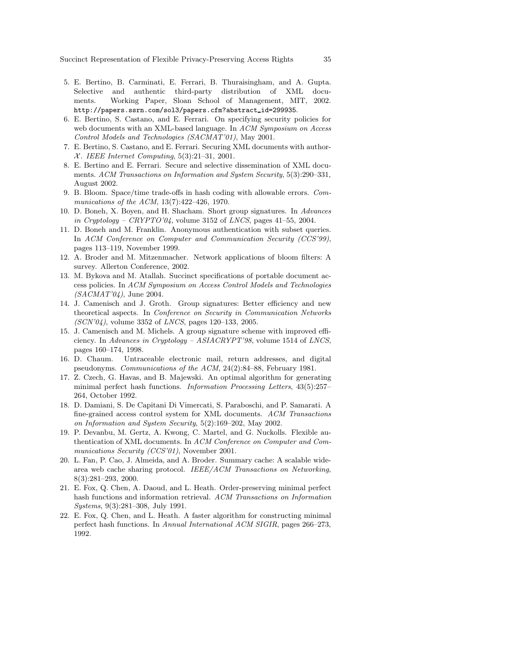- 5. E. Bertino, B. Carminati, E. Ferrari, B. Thuraisingham, and A. Gupta. Selective and authentic third-party distribution of XML documents. Working Paper, Sloan School of Management, MIT, 2002. http://papers.ssrn.com/sol3/papers.cfm?abstract id=299935.
- 6. E. Bertino, S. Castano, and E. Ferrari. On specifying security policies for web documents with an XML-based language. In ACM Symposium on Access Control Models and Technologies (SACMAT'01), May 2001.
- 7. E. Bertino, S. Castano, and E. Ferrari. Securing XML documents with author- $X.$  IEEE Internet Computing, 5(3):21-31, 2001.
- 8. E. Bertino and E. Ferrari. Secure and selective dissemination of XML documents. ACM Transactions on Information and System Security, 5(3):290–331, August 2002.
- 9. B. Bloom. Space/time trade-offs in hash coding with allowable errors. Communications of the ACM, 13(7):422–426, 1970.
- 10. D. Boneh, X. Boyen, and H. Shacham. Short group signatures. In Advances in Cryptology –  $CRYPTO'04$ , volume 3152 of LNCS, pages 41–55, 2004.
- 11. D. Boneh and M. Franklin. Anonymous authentication with subset queries. In ACM Conference on Computer and Communication Security (CCS'99), pages 113–119, November 1999.
- 12. A. Broder and M. Mitzenmacher. Network applications of bloom filters: A survey. Allerton Conference, 2002.
- 13. M. Bykova and M. Atallah. Succinct specifications of portable document access policies. In ACM Symposium on Access Control Models and Technologies  $(SACMAT'04)$ , June 2004.
- 14. J. Camenisch and J. Groth. Group signatures: Better efficiency and new theoretical aspects. In Conference on Security in Communication Networks  $(SCN'04)$ , volume 3352 of *LNCS*, pages 120–133, 2005.
- 15. J. Camenisch and M. Michels. A group signature scheme with improved efficiency. In Advances in Cryptology – ASIACRYPT'98, volume 1514 of LNCS, pages 160–174, 1998.
- 16. D. Chaum. Untraceable electronic mail, return addresses, and digital pseudonyms. Communications of the ACM, 24(2):84–88, February 1981.
- 17. Z. Czech, G. Havas, and B. Majewski. An optimal algorithm for generating minimal perfect hash functions. Information Processing Letters, 43(5):257– 264, October 1992.
- 18. D. Damiani, S. De Capitani Di Vimercati, S. Paraboschi, and P. Samarati. A fine-grained access control system for XML documents. ACM Transactions on Information and System Security, 5(2):169–202, May 2002.
- 19. P. Devanbu, M. Gertz, A. Kwong, C. Martel, and G. Nuckolls. Flexible authentication of XML documents. In ACM Conference on Computer and Communications Security (CCS'01), November 2001.
- 20. L. Fan, P. Cao, J. Almeida, and A. Broder. Summary cache: A scalable widearea web cache sharing protocol. IEEE/ACM Transactions on Networking, 8(3):281–293, 2000.
- 21. E. Fox, Q. Chen, A. Daoud, and L. Heath. Order-preserving minimal perfect hash functions and information retrieval. ACM Transactions on Information Systems, 9(3):281–308, July 1991.
- 22. E. Fox, Q. Chen, and L. Heath. A faster algorithm for constructing minimal perfect hash functions. In Annual International ACM SIGIR, pages 266–273, 1992.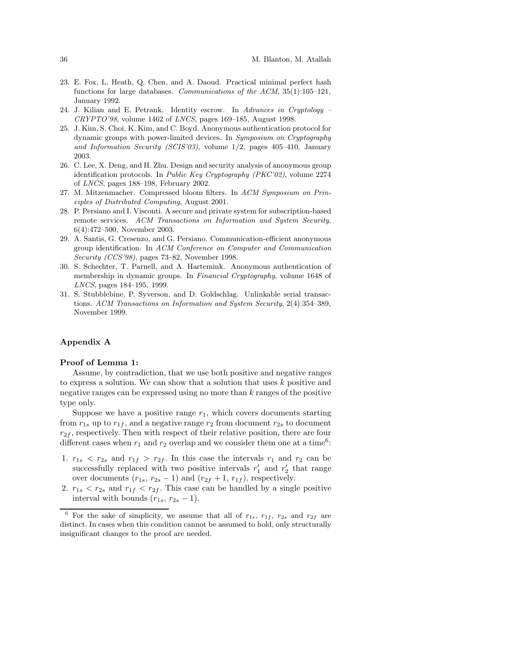- 23. E. Fox, L. Heath, Q. Chen, and A. Daoud. Practical minimal perfect hash functions for large databases. Communications of the ACM, 35(1):105–121, January 1992.
- 24. J. Kilian and E. Petrank. Identity escrow. In Advances in Cryptology  $CRYPTO'98$ , volume 1462 of  $LNCS$ , pages 169-185, August 1998.
- 25. J. Kim, S. Choi, K. Kim, and C. Boyd. Anonymous authentication protocol for dynamic groups with power-limited devices. In Symposium on Cryptography and Information Security (SCIS'03), volume 1/2, pages 405–410, January 2003.
- 26. C. Lee, X. Deng, and H. Zhu. Design and security analysis of anonymous group identification protocols. In Public Key Cryptography (PKC'02), volume 2274 of LNCS, pages 188–198, February 2002.
- 27. M. Mitzenmacher. Compressed bloom filters. In ACM Symposium on Principles of Distributed Computing, August 2001.
- 28. P. Persiano and I. Visconti. A secure and private system for subscription-based remote services. ACM Transactions on Information and System Security, 6(4):472–500, November 2003.
- 29. A. Santis, G. Cresenzo, and G. Persiano. Communication-efficient anonymous group identification. In ACM Conference on Computer and Communication Security (CCS'98), pages 73–82, November 1998.
- 30. S. Schechter, T. Parnell, and A. Hartemink. Anonymous authentication of membership in dynamic groups. In Financial Cryptography, volume 1648 of LNCS, pages 184–195, 1999.
- 31. S. Stubblebine, P. Syverson, and D. Goldschlag. Unlinkable serial transactions. ACM Transactions on Information and System Security, 2(4):354–389, November 1999.

# Appendix A

#### Proof of Lemma 1:

Assume, by contradiction, that we use both positive and negative ranges to express a solution. We can show that a solution that uses  $k$  positive and negative ranges can be expressed using no more than k ranges of the positive type only.

Suppose we have a positive range  $r_1$ , which covers documents starting from  $r_{1s}$  up to  $r_{1f}$ , and a negative range  $r_2$  from document  $r_{2s}$  to document  $r_{2f}$ , respectively. Then with respect of their relative position, there are four different cases when  $r_1$  and  $r_2$  overlap and we consider them one at a time<sup>6</sup>:

- 1.  $r_{1s} < r_{2s}$  and  $r_{1f} > r_{2f}$ . In this case the intervals  $r_1$  and  $r_2$  can be successfully replaced with two positive intervals  $r'_1$  and  $r'_2$  that range over documents  $(r_{1s}, r_{2s} - 1)$  and  $(r_{2f} + 1, r_{1f})$ , respectively.
- 2.  $r_{1s} < r_{2s}$  and  $r_{1f} < r_{2f}$ . This case can be handled by a single positive interval with bounds  $(r_{1s}, r_{2s} - 1)$ .

<sup>&</sup>lt;sup>6</sup> For the sake of simplicity, we assume that all of  $r_{1s}$ ,  $r_{1f}$ ,  $r_{2s}$  and  $r_{2f}$  are distinct. In cases when this condition cannot be assumed to hold, only structurally insignificant changes to the proof are needed.